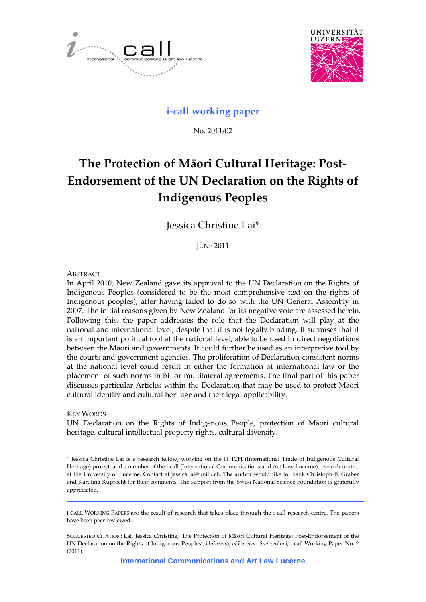



# **i‐call working paper**

No. 2011/02

# **The Protection of Māori Cultural Heritage: Post‐ Endorsement of the UN Declaration on the Rights of Indigenous Peoples**

Jessica Christine Lai\*

JUNE 2011

# **ABSTRACT**

In April 2010, New Zealand gave its approval to the UN Declaration on the Rights of Indigenous Peoples (considered to be the most comprehensive text on the rights of Indigenous peoples), after having failed to do so with the UN General Assembly in 2007. The initial reasons given by New Zealand for its negative vote are assessed herein. Following this, the paper addresses the role that the Declaration will play at the national and international level, despite that it is not legally binding. It surmises that it is an important political tool at the national level, able to be used in direct negotiations between the Māori and governments. It could further be used as an interpretive tool by the courts and government agencies. The proliferation of Declaration‐consistent norms at the national level could result in either the formation of international law or the placement of such norms in bi‐ or multilateral agreements. The final part of this paper discusses particular Articles within the Declaration that may be used to protect Māori cultural identity and cultural heritage and their legal applicability.

# KEY WORDS

UN Declaration on the Rights of Indigenous People, protection of Māori cultural heritage, cultural intellectual property rights, cultural diversity.

\* Jessica Christine Lai is a research fellow, working on the IT ICH (International Trade of Indigenous Cultural Heritage) project, and a member of the i-call (International Communications and Art Law Lucerne) research centre, at the University of Lucerne. Contact at jessica.lai@unilu.ch. The author would like to thank Christoph B. Graber and Karolina Kuprecht for their comments. The support from the Swiss National Science Foundation is gratefully appreciated.

I‐CALL WORKING PAPERS are the result of research that takes place through the i‐call research centre. The papers have been peer‐reviewed.

SUGGESTED CITATION: Lai, Jessica Christine, 'The Protection of Māori Cultural Heritage: Post‐Endorsement of the UN Declaration on the Rights of Indigenous Peoples', *University of Lucerne, Switzerland*, i‐call Working Paper No. 2 (2011).

**International Communications and Art Law Lucerne**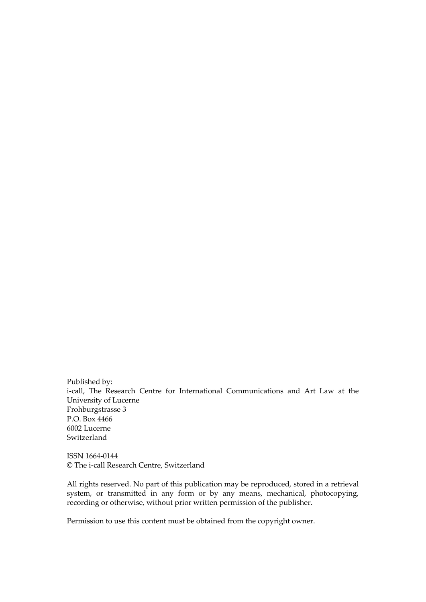Published by: i-call, The Research Centre for International Communications and Art Law at the University of Lucerne Frohburgstrasse 3 P.O. Box 4466 6002 Lucerne Switzerland

ISSN 1664‐0144 © The i‐call Research Centre, Switzerland

All rights reserved. No part of this publication may be reproduced, stored in a retrieval system, or transmitted in any form or by any means, mechanical, photocopying, recording or otherwise, without prior written permission of the publisher.

Permission to use this content must be obtained from the copyright owner.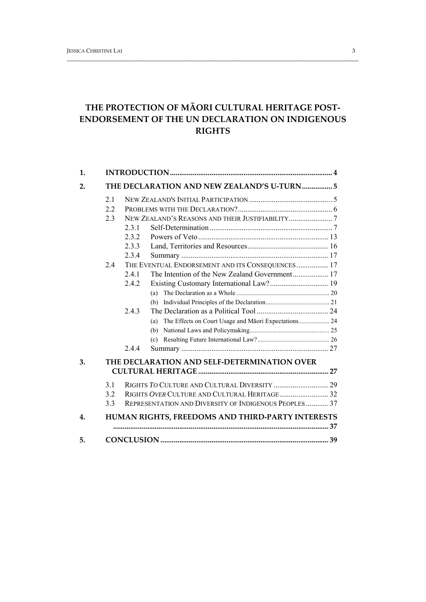# **THE PROTECTION OF MĀORI CULTURAL HERITAGE POST‐ ENDORSEMENT OF THE UN DECLARATION ON INDIGENOUS RIGHTS**

\_\_\_\_\_\_\_\_\_\_\_\_\_\_\_\_\_\_\_\_\_\_\_\_\_\_\_\_\_\_\_\_\_\_\_\_\_\_\_\_\_\_\_\_\_\_\_\_\_\_\_\_\_\_\_\_\_\_\_\_\_\_\_\_\_\_\_\_\_\_\_\_\_\_\_\_\_\_\_\_\_\_\_\_\_\_\_\_\_\_\_\_\_\_\_\_\_\_\_\_\_\_

| 1. |     |                                                       |  |  |  |
|----|-----|-------------------------------------------------------|--|--|--|
| 2. |     | THE DECLARATION AND NEW ZEALAND'S U-TURN 5            |  |  |  |
|    | 2.1 |                                                       |  |  |  |
|    | 2.2 |                                                       |  |  |  |
|    | 2.3 |                                                       |  |  |  |
|    |     | 231                                                   |  |  |  |
|    |     | 2.3.2                                                 |  |  |  |
|    |     | 2.3.3                                                 |  |  |  |
|    |     | 2.3.4                                                 |  |  |  |
|    | 2.4 | THE EVENTUAL ENDORSEMENT AND ITS CONSEQUENCES 17      |  |  |  |
|    |     | 2.4.1                                                 |  |  |  |
|    |     | 2.4.2                                                 |  |  |  |
|    |     | (a)                                                   |  |  |  |
|    |     |                                                       |  |  |  |
|    |     | 2.4.3                                                 |  |  |  |
|    |     |                                                       |  |  |  |
|    |     |                                                       |  |  |  |
|    |     | (c)                                                   |  |  |  |
|    |     | 244                                                   |  |  |  |
| 3. |     | THE DECLARATION AND SELF-DETERMINATION OVER           |  |  |  |
|    |     |                                                       |  |  |  |
|    | 3.1 |                                                       |  |  |  |
|    | 3.2 |                                                       |  |  |  |
|    | 3.3 | REPRESENTATION AND DIVERSITY OF INDIGENOUS PEOPLES 37 |  |  |  |
| 4. |     | HUMAN RIGHTS, FREEDOMS AND THIRD-PARTY INTERESTS      |  |  |  |
| 5. |     |                                                       |  |  |  |
|    |     |                                                       |  |  |  |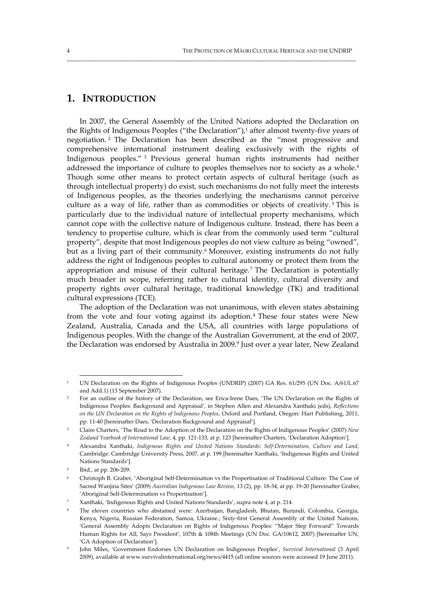# **1. INTRODUCTION**

In 2007, the General Assembly of the United Nations adopted the Declaration on the Rights of Indigenous Peoples ("the Declaration"), $1$  after almost twenty-five years of negotiation. <sup>2</sup> The Declaration has been described as the "most progressive and comprehensive international instrument dealing exclusively with the rights of Indigenous peoples." <sup>3</sup> Previous general human rights instruments had neither addressed the importance of culture to peoples themselves nor to society as a whole.4 Though some other means to protect certain aspects of cultural heritage (such as through intellectual property) do exist, such mechanisms do not fully meet the interests of Indigenous peoples, as the theories underlying the mechanisms cannot perceive culture as a way of life, rather than as commodities or objects of creativity. <sup>5</sup> This is particularly due to the individual nature of intellectual property mechanisms, which cannot cope with the collective nature of Indigenous culture. Instead, there has been a tendency to propertise culture, which is clear from the commonly used term "cultural property", despite that most Indigenous peoples do not view culture as being "owned", but as a living part of their community.<sup>6</sup> Moreover, existing instruments do not fully address the right of Indigenous peoples to cultural autonomy or protect them from the appropriation and misuse of their cultural heritage.7 The Declaration is potentially much broader in scope, referring rather to cultural identity, cultural diversity and property rights over cultural heritage, traditional knowledge (TK) and traditional cultural expressions (TCE).

\_\_\_\_\_\_\_\_\_\_\_\_\_\_\_\_\_\_\_\_\_\_\_\_\_\_\_\_\_\_\_\_\_\_\_\_\_\_\_\_\_\_\_\_\_\_\_\_\_\_\_\_\_\_\_\_\_\_\_\_\_\_\_\_\_\_\_\_\_\_\_\_\_\_\_\_\_\_\_\_\_\_\_\_\_\_\_\_\_\_\_\_\_\_\_\_\_\_\_\_\_

The adoption of the Declaration was not unanimous, with eleven states abstaining from the vote and four voting against its adoption. <sup>8</sup> These four states were New Zealand, Australia, Canada and the USA, all countries with large populations of Indigenous peoples. With the change of the Australian Government, at the end of 2007, the Declaration was endorsed by Australia in 2009.<sup>9</sup> Just over a year later, New Zealand

<sup>&</sup>lt;sup>1</sup> UN Declaration on the Rights of Indigenous Peoples (UNDRIP) (2007) GA Res. 61/295 (UN Doc. A/61/L.67 and Add.1) (13 September 2007).

<sup>2</sup> For an outline of the history of the Declaration, see Erica‐Irene Daes, 'The UN Declaration on the Rights of Indigenous Peoples: Background and Appraisal', in Stephen Allen and Alexandra Xanthaki (eds), *Reflections on the UN Declaration on the Rights of Indigenous Peoples*, Oxford and Portland, Oregon: Hart Publishing, 2011, pp. 11‐40 [hereinafter Daes, 'Declaration Background and Appraisal'].

<sup>3</sup> Claire Charters, 'The Road to the Adoption of the Declaration on the Rights of Indigenous Peoples' (2007) *New Zealand Yearbook of International Law*, 4, pp. 121‐133, at p. 123 [hereinafter Charters, 'Declaration Adoption'].

<sup>4</sup> Alexandra Xanthaki, *Indigenous Rights and United Nations Standards: Self‐Determination, Culture and Land*, Cambridge: Cambridge University Press, 2007, at p. 199 [hereinafter Xanthaki, 'Indigenous Rights and United Nations Standards'].

<sup>5</sup> Ibid., at pp. 206‐209.

<sup>6</sup> Christoph B. Graber, 'Aboriginal Self‐Determination vs the Propertisation of Traditional Culture: The Case of Sacred Wanjina Sites' (2009) *Australian Indigenous Law Review*, 13 (2), pp. 18‐34, at pp. 19‐20 [hereinafter Graber, 'Aboriginal Self‐Determination vs Propertisation'].

<sup>7</sup> Xanthaki, 'Indigenous Rights and United Nations Standards', supra note 4, at p. 214.

<sup>8</sup> The eleven countries who abstained were: Azerbaijan, Bangladesh, Bhutan, Burundi, Colombia, Georgia, Kenya, Nigeria, Russian Federation, Samoa, Ukraine.; Sixty‐first General Assembly of the United Nations, 'General Assembly Adopts Declaration on Rights of Indigenous Peoples: "Major Step Forward" Towards Human Rights for All, Says President', 107th & 108th Meetings (UN Doc. GA/10612, 2007) [hereinafter UN, 'GA Adoption of Declaration'].

<sup>9</sup> John Miles, 'Government Endorses UN Declaration on Indigenous Peoples', *Survival International* (3 April 2009), available at www.survivalinternational.org/news/4415 (all online sources were accessed 19 June 2011).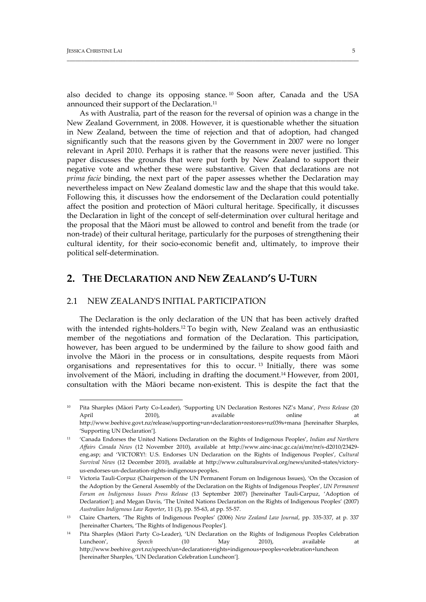also decided to change its opposing stance. <sup>10</sup> Soon after, Canada and the USA announced their support of the Declaration.<sup>11</sup>

\_\_\_\_\_\_\_\_\_\_\_\_\_\_\_\_\_\_\_\_\_\_\_\_\_\_\_\_\_\_\_\_\_\_\_\_\_\_\_\_\_\_\_\_\_\_\_\_\_\_\_\_\_\_\_\_\_\_\_\_\_\_\_\_\_\_\_\_\_\_\_\_\_\_\_\_\_\_\_\_\_\_\_\_\_\_\_\_\_\_\_\_\_\_\_\_\_\_\_\_\_\_

As with Australia, part of the reason for the reversal of opinion was a change in the New Zealand Government, in 2008. However, it is questionable whether the situation in New Zealand, between the time of rejection and that of adoption, had changed significantly such that the reasons given by the Government in 2007 were no longer relevant in April 2010. Perhaps it is rather that the reasons were never justified. This paper discusses the grounds that were put forth by New Zealand to support their negative vote and whether these were substantive. Given that declarations are not *prima facie* binding, the next part of the paper assesses whether the Declaration may nevertheless impact on New Zealand domestic law and the shape that this would take. Following this, it discusses how the endorsement of the Declaration could potentially affect the position and protection of Māori cultural heritage. Specifically, it discusses the Declaration in light of the concept of self‐determination over cultural heritage and the proposal that the Māori must be allowed to control and benefit from the trade (or non‐trade) of their cultural heritage, particularly for the purposes of strengthening their cultural identity, for their socio‐economic benefit and, ultimately, to improve their political self‐determination.

# **2. THE DECLARATION AND NEW ZEALAND'S U‐TURN**

# 2.1 NEW ZEALANDʹS INITIAL PARTICIPATION

The Declaration is the only declaration of the UN that has been actively drafted with the intended rights-holders.<sup>12</sup> To begin with, New Zealand was an enthusiastic member of the negotiations and formation of the Declaration. This participation, however, has been argued to be undermined by the failure to show good faith and involve the Māori in the process or in consultations, despite requests from Māori organisations and representatives for this to occur. <sup>13</sup> Initially, there was some involvement of the Māori, including in drafting the document.14 However, from 2001, consultation with the Māori became non‐existent. This is despite the fact that the

<sup>10</sup> Pita Sharples (Māori Party Co‐Leader), 'Supporting UN Declaration Restores NZ's Mana', *Press Release* (20 April 2010), available online at http://www.beehive.govt.nz/release/supporting+un+declaration+restores+nz039s+mana [hereinafter Sharples, 'Supporting UN Declaration'].

<sup>11</sup> 'Canada Endorses the United Nations Declaration on the Rights of Indigenous Peoples', *Indian and Northern Affairs Canada News* (12 November 2010), available at http://www.ainc‐inac.gc.ca/ai/mr/nr/s‐d2010/23429‐ eng.asp; and 'VICTORY!: U.S. Endorses UN Declaration on the Rights of Indigenous Peoples', *Cultural Survival News* (12 December 2010), available at http://www.culturalsurvival.org/news/united‐states/victory‐ us‐endorses‐un‐declaration‐rights‐indigenous‐peoples.

<sup>12</sup> Victoria Tauli-Corpuz (Chairperson of the UN Permanent Forum on Indigenous Issues), 'On the Occasion of the Adoption by the General Assembly of the Declaration on the Rights of Indigenous Peoples', *UN Permanent Forum on Indigenous Issues Press Release* (13 September 2007) [hereinafter Tauli‐Carpuz, 'Adoption of Declaration']; and Megan Davis, 'The United Nations Declaration on the Rights of Indigenous Peoples' (2007) *Australian Indigenous Law Reporter*, 11 (3), pp. 55‐63, at pp. 55‐57.

<sup>13</sup> Claire Charters, 'The Rights of Indigenous Peoples' (2006) *New Zealand Law Journal*, pp. 335‐337, at p. 337 [hereinafter Charters, 'The Rights of Indigenous Peoples'].

<sup>14</sup> Pita Sharples (Māori Party Co‐Leader), 'UN Declaration on the Rights of Indigenous Peoples Celebration Luncheon', *Speech* (10 May 2010), available at http://www.beehive.govt.nz/speech/un+declaration+rights+indigenous+peoples+celebration+luncheon [hereinafter Sharples, 'UN Declaration Celebration Luncheon'].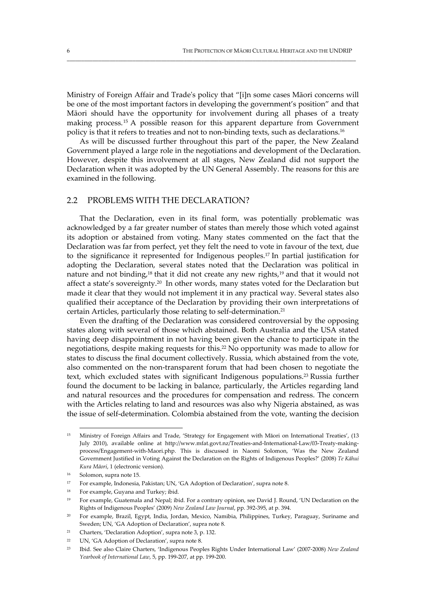Ministry of Foreign Affair and Tradeʹs policy that "[i]n some cases Māori concerns will be one of the most important factors in developing the government's position" and that Māori should have the opportunity for involvement during all phases of a treaty making process.15 A possible reason for this apparent departure from Government policy is that it refers to treaties and not to non‐binding texts, such as declarations.16

\_\_\_\_\_\_\_\_\_\_\_\_\_\_\_\_\_\_\_\_\_\_\_\_\_\_\_\_\_\_\_\_\_\_\_\_\_\_\_\_\_\_\_\_\_\_\_\_\_\_\_\_\_\_\_\_\_\_\_\_\_\_\_\_\_\_\_\_\_\_\_\_\_\_\_\_\_\_\_\_\_\_\_\_\_\_\_\_\_\_\_\_\_\_\_\_\_\_\_\_\_

As will be discussed further throughout this part of the paper, the New Zealand Government played a large role in the negotiations and development of the Declaration. However, despite this involvement at all stages, New Zealand did not support the Declaration when it was adopted by the UN General Assembly. The reasons for this are examined in the following.

# 2.2 PROBLEMS WITH THE DECLARATION?

That the Declaration, even in its final form, was potentially problematic was acknowledged by a far greater number of states than merely those which voted against its adoption or abstained from voting. Many states commented on the fact that the Declaration was far from perfect, yet they felt the need to vote in favour of the text, due to the significance it represented for Indigenous peoples.17 In partial justification for adopting the Declaration, several states noted that the Declaration was political in nature and not binding,18 that it did not create any new rights,19 and that it would not affect a state's sovereignty.20 In other words, many states voted for the Declaration but made it clear that they would not implement it in any practical way. Several states also qualified their acceptance of the Declaration by providing their own interpretations of certain Articles, particularly those relating to self‐determination.21

Even the drafting of the Declaration was considered controversial by the opposing states along with several of those which abstained. Both Australia and the USA stated having deep disappointment in not having been given the chance to participate in the negotiations, despite making requests for this.22 No opportunity was made to allow for states to discuss the final document collectively. Russia, which abstained from the vote, also commented on the non-transparent forum that had been chosen to negotiate the text, which excluded states with significant Indigenous populations.<sup>23</sup> Russia further found the document to be lacking in balance, particularly, the Articles regarding land and natural resources and the procedures for compensation and redress. The concern with the Articles relating to land and resources was also why Nigeria abstained, as was the issue of self‐determination. Colombia abstained from the vote, wanting the decision

<sup>15</sup> Ministry of Foreign Affairs and Trade, 'Strategy for Engagement with Māori on International Treaties', (13 July 2010), available online at http://www.mfat.govt.nz/Treaties‐and‐International‐Law/03‐Treaty‐making‐ process/Engagement‐with‐Maori.php. This is discussed in Naomi Solomon, 'Was the New Zealand Government Justified in Voting Against the Declaration on the Rights of Indigenous Peoples?' (2008) *Te Kāhui Kura Māori*, 1 (electronic version).

<sup>&</sup>lt;sup>16</sup> Solomon, supra note 15.

<sup>17</sup> For example, Indonesia, Pakistan; UN, 'GA Adoption of Declaration', supra note 8.

<sup>&</sup>lt;sup>18</sup> For example, Guyana and Turkey; ibid.

<sup>&</sup>lt;sup>19</sup> For example, Guatemala and Nepal; ibid. For a contrary opinion, see David J. Round, 'UN Declaration on the Rights of Indigenous Peoples' (2009) *New Zealand Law Journal*, pp. 392‐395, at p. 394.

<sup>20</sup> For example, Brazil, Egypt, India, Jordan, Mexico, Namibia, Philippines, Turkey, Paraguay, Suriname and Sweden; UN, 'GA Adoption of Declaration', supra note 8.

<sup>21</sup> Charters, 'Declaration Adoption', supra note 3, p. 132.

<sup>&</sup>lt;sup>22</sup> UN, 'GA Adoption of Declaration', supra note 8.

<sup>23</sup> Ibid. See also Claire Charters, 'Indigenous Peoples Rights Under International Law' (2007‐2008) *New Zealand Yearbook of International Law*, 5, pp. 199‐207, at pp. 199‐200.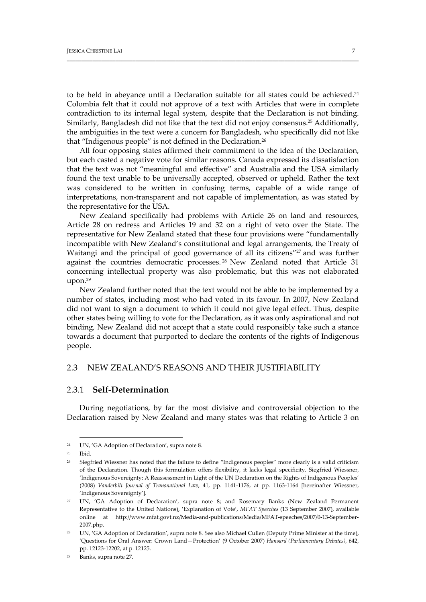to be held in abeyance until a Declaration suitable for all states could be achieved.<sup>24</sup> Colombia felt that it could not approve of a text with Articles that were in complete contradiction to its internal legal system, despite that the Declaration is not binding. Similarly, Bangladesh did not like that the text did not enjoy consensus.25 Additionally, the ambiguities in the text were a concern for Bangladesh, who specifically did not like that "Indigenous people" is not defined in the Declaration.26

\_\_\_\_\_\_\_\_\_\_\_\_\_\_\_\_\_\_\_\_\_\_\_\_\_\_\_\_\_\_\_\_\_\_\_\_\_\_\_\_\_\_\_\_\_\_\_\_\_\_\_\_\_\_\_\_\_\_\_\_\_\_\_\_\_\_\_\_\_\_\_\_\_\_\_\_\_\_\_\_\_\_\_\_\_\_\_\_\_\_\_\_\_\_\_\_\_\_\_\_\_\_

All four opposing states affirmed their commitment to the idea of the Declaration, but each casted a negative vote for similar reasons. Canada expressed its dissatisfaction that the text was not "meaningful and effective" and Australia and the USA similarly found the text unable to be universally accepted, observed or upheld. Rather the text was considered to be written in confusing terms, capable of a wide range of interpretations, non-transparent and not capable of implementation, as was stated by the representative for the USA.

New Zealand specifically had problems with Article 26 on land and resources, Article 28 on redress and Articles 19 and 32 on a right of veto over the State. The representative for New Zealand stated that these four provisions were "fundamentally incompatible with New Zealand's constitutional and legal arrangements, the Treaty of Waitangi and the principal of good governance of all its citizens"<sup>27</sup> and was further against the countries democratic processes. <sup>28</sup> New Zealand noted that Article 31 concerning intellectual property was also problematic, but this was not elaborated upon.29

New Zealand further noted that the text would not be able to be implemented by a number of states, including most who had voted in its favour. In 2007, New Zealand did not want to sign a document to which it could not give legal effect. Thus, despite other states being willing to vote for the Declaration, as it was only aspirational and not binding, New Zealand did not accept that a state could responsibly take such a stance towards a document that purported to declare the contents of the rights of Indigenous people.

# 2.3 NEW ZEALAND'S REASONS AND THEIR JUSTIFIABILITY

# 2.3.1 **Self‐Determination**

During negotiations, by far the most divisive and controversial objection to the Declaration raised by New Zealand and many states was that relating to Article 3 on

 <sup>24</sup> UN, 'GA Adoption of Declaration', supra note 8.

 $25$   $\text{Inid}$ 

<sup>26</sup> Siegfried Wiessner has noted that the failure to define "Indigenous peoples" more clearly is a valid criticism of the Declaration. Though this formulation offers flexibility, it lacks legal specificity. Siegfried Wiessner, 'Indigenous Sovereignty: A Reassessment in Light of the UN Declaration on the Rights of Indigenous Peoples' (2008) *Vanderbilt Journal of Transnational Law*, 41, pp. 1141‐1176, at pp. 1163‐1164 [hereinafter Wiessner, 'Indigenous Sovereignty'].

<sup>27</sup> UN, 'GA Adoption of Declaration', supra note 8; and Rosemary Banks (New Zealand Permanent Representative to the United Nations), 'Explanation of Vote', *MFAT Speeches* (13 September 2007), available online at http://www.mfat.govt.nz/Media‐and‐publications/Media/MFAT‐speeches/2007/0‐13‐September‐ 2007.php.

<sup>&</sup>lt;sup>28</sup> UN, 'GA Adoption of Declaration', supra note 8. See also Michael Cullen (Deputy Prime Minister at the time), 'Questions for Oral Answer: Crown Land—Protection' (9 October 2007) *Hansard (Parliamentary Debates)*, 642, pp. 12123‐12202, at p. 12125.

<sup>29</sup> Banks, supra note 27.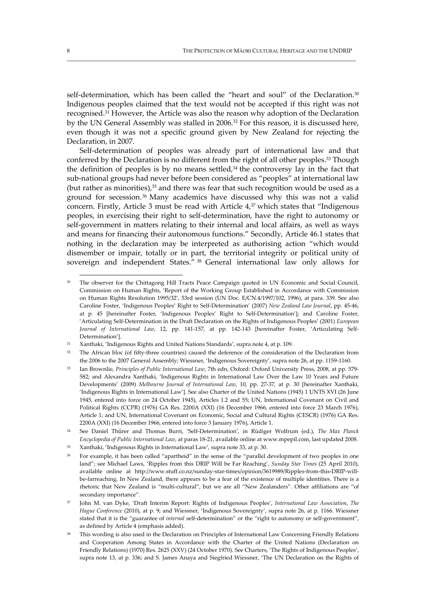self-determination, which has been called the "heart and soul" of the Declaration.<sup>30</sup> Indigenous peoples claimed that the text would not be accepted if this right was not recognised.31 However, the Article was also the reason why adoption of the Declaration by the UN General Assembly was stalled in 2006.<sup>32</sup> For this reason, it is discussed here, even though it was not a specific ground given by New Zealand for rejecting the Declaration, in 2007.

\_\_\_\_\_\_\_\_\_\_\_\_\_\_\_\_\_\_\_\_\_\_\_\_\_\_\_\_\_\_\_\_\_\_\_\_\_\_\_\_\_\_\_\_\_\_\_\_\_\_\_\_\_\_\_\_\_\_\_\_\_\_\_\_\_\_\_\_\_\_\_\_\_\_\_\_\_\_\_\_\_\_\_\_\_\_\_\_\_\_\_\_\_\_\_\_\_\_\_\_\_

Self-determination of peoples was already part of international law and that conferred by the Declaration is no different from the right of all other peoples.<sup>33</sup> Though the definition of peoples is by no means settled, $34$  the controversy lay in the fact that sub-national groups had never before been considered as "peoples" at international law (but rather as minorities), $35$  and there was fear that such recognition would be used as a ground for secession.36 Many academics have discussed why this was not a valid concern. Firstly, Article 3 must be read with Article 4,<sup>37</sup> which states that "Indigenous peoples, in exercising their right to self‐determination, have the right to autonomy or self‐government in matters relating to their internal and local affairs, as well as ways and means for financing their autonomous functions." Secondly, Article 46.1 states that nothing in the declaration may be interpreted as authorising action "which would dismember or impair, totally or in part, the territorial integrity or political unity of sovereign and independent States." <sup>38</sup> General international law only allows for

<sup>&</sup>lt;sup>30</sup> The observer for the Chittagong Hill Tracts Peace Campaign quoted in UN Economic and Social Council, Commission on Human Rights, 'Report of the Working Group Established in Accordance with Commission on Human Rights Resolution 1995/32', 53rd session (UN Doc. E/CN.4/1997/102, 1996), at para. 339. See also Caroline Foster, 'Indigenous Peoples' Right to Self‐Determination' (2007) *New Zealand Law Journal*, pp. 45‐46, at p. 45 [hereinafter Foster, 'Indigenous Peoples' Right to Self‐Determination']; and Caroline Foster, 'Articulating Self‐Determination in the Draft Declaration on the Rights of Indigenous Peoples' (2001) *European Journal of International Law*, 12, pp. 141‐157, at pp. 142‐143 [hereinafter Foster, 'Articulating Self‐ Determination'].

<sup>31</sup> Xanthaki, 'Indigenous Rights and United Nations Standards', supra note 4, at p. 109.

<sup>&</sup>lt;sup>32</sup> The African bloc (of fifty-three countries) caused the deference of the consideration of the Declaration from the 2006 to the 2007 General Assembly; Wiessner, 'Indigenous Sovereignty', supra note 26, at pp. 1159-1160.

<sup>33</sup> Ian Brownlie, *Principles of Public International Law*, 7th edn, Oxford: Oxford University Press, 2008, at pp. 579‐ 582; and Alexandra Xanthaki, 'Indigenous Rights in International Law Over the Law 10 Years and Future Developments' (2009) *Melbourne Journal of International Law*, 10, pp. 27‐37, at p. 30 [hereinafter Xanthaki, 'Indigenous Rights in International Law']. See also Charter of the United Nations (1945) 1 UNTS XVI (26 June 1945, entered into force on 24 October 1945), Articles 1.2 and 55; UN, International Covenant on Civil and Political Rights (CCPR) (1976) GA Res. 2200A (XXI) (16 December 1966, entered into force 23 March 1976), Article 1; and UN, International Covenant on Economic, Social and Cultural Rights (CESCR) (1976) GA Res. 2200A (XXI) (16 December 1966, entered into force 3 January 1976), Article 1.

<sup>34</sup> See Daniel Thűrer and Thomas Burri, 'Self‐Determination', in Rüdiger Wolfrum (ed.), *The Max Planck Encyclopedia of Public International Law*, at paras 18‐21, available online at www.mpepil.com, last updated 2008.

<sup>35</sup> Xanthaki, 'Indigenous Rights in International Law', supra note 33, at p. 30.

<sup>36</sup> For example, it has been called "apartheid" in the sense of the "parallel development of two peoples in one land"; see Michael Laws, 'Ripples from this DRIP Will be Far Reaching', *Sunday Star Times* (25 April 2010), available online at http://www.stuff.co.nz/sunday‐star‐times/opinion/3619989/Ripples‐from‐this‐DRIP‐will‐ be-farreaching. In New Zealand, there appears to be a fear of the existence of multiple identities. There is a rhetoric that New Zealand is "multi‐cultural", but we are all "New Zealanders". Other affiliations are "of secondary importance".

<sup>37</sup> John M. van Dyke, 'Draft Interim Report: Rights of Indigenous Peoples', *International Law Association, The Hague Conference* (2010), at p. 9; and Wiessner, 'Indigenous Sovereignty', supra note 26, at p. 1166. Wiessner stated that it is the "guarantee of *internal* self-determination" or the "right to autonomy or self-government", as defined by Article 4 (emphasis added).

<sup>38</sup> This wording is also used in the Declaration on Principles of International Law Concerning Friendly Relations and Cooperation Among States in Accordance with the Charter of the United Nations (Declaration on Friendly Relations) (1970) Res. 2625 (XXV) (24 October 1970). See Charters, 'The Rights of Indigenous Peoples', supra note 13, at p. 336; and S. James Anaya and Siegfried Wiessner, 'The UN Declaration on the Rights of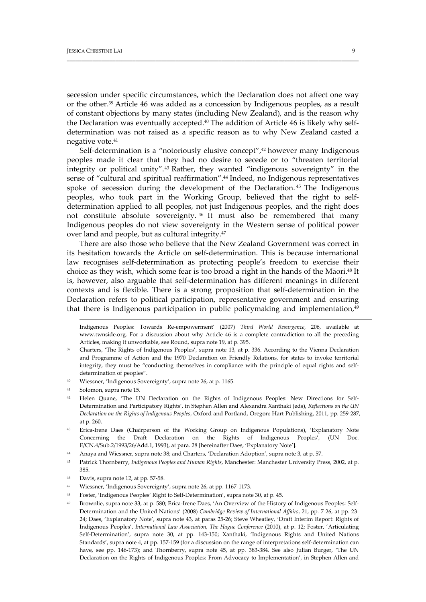secession under specific circumstances, which the Declaration does not affect one way or the other.39 Article 46 was added as a concession by Indigenous peoples, as a result of constant objections by many states (including New Zealand), and is the reason why the Declaration was eventually accepted.<sup>40</sup> The addition of Article 46 is likely why selfdetermination was not raised as a specific reason as to why New Zealand casted a negative vote.41

\_\_\_\_\_\_\_\_\_\_\_\_\_\_\_\_\_\_\_\_\_\_\_\_\_\_\_\_\_\_\_\_\_\_\_\_\_\_\_\_\_\_\_\_\_\_\_\_\_\_\_\_\_\_\_\_\_\_\_\_\_\_\_\_\_\_\_\_\_\_\_\_\_\_\_\_\_\_\_\_\_\_\_\_\_\_\_\_\_\_\_\_\_\_\_\_\_\_\_\_\_\_

Self-determination is a "notoriously elusive concept",<sup>42</sup> however many Indigenous peoples made it clear that they had no desire to secede or to "threaten territorial integrity or political unity".43 Rather, they wanted "indigenous sovereignty" in the sense of "cultural and spiritual reaffirmation".44 Indeed, no Indigenous representatives spoke of secession during the development of the Declaration. <sup>45</sup> The Indigenous peoples, who took part in the Working Group, believed that the right to self‐ determination applied to all peoples, not just Indigenous peoples, and the right does not constitute absolute sovereignty. <sup>46</sup> It must also be remembered that many Indigenous peoples do not view sovereignty in the Western sense of political power over land and people, but as cultural integrity.47

There are also those who believe that the New Zealand Government was correct in its hesitation towards the Article on self‐determination. This is because international law recognises self-determination as protecting people's freedom to exercise their choice as they wish, which some fear is too broad a right in the hands of the Māori.48 It is, however, also arguable that self‐determination has different meanings in different contexts and is flexible. There is a strong proposition that self‐determination in the Declaration refers to political participation, representative government and ensuring that there is Indigenous participation in public policymaking and implementation,<sup>49</sup>

Indigenous Peoples: Towards Re‐empowerment' (2007) *Third World Resurgence*, 206, available at www.twnside.org. For a discussion about why Article 46 is a complete contradiction to all the preceding Articles, making it unworkable, see Round, supra note 19, at p. 395.

<u> 1989 - Johann Stoff, amerikansk fotballstruktur (d. 1989)</u>

Wiessner, 'Indigenous Sovereignty', supra note 26, at p. 1165.

- Davis, supra note 12, at pp. 57-58.
- <sup>47</sup> Wiessner, 'Indigenous Sovereignty', supra note 26, at pp. 1167‐1173.
- <sup>48</sup> Foster, 'Indigenous Peoples' Right to Self‐Determination', supra note 30, at p. 45.
- <sup>49</sup> Brownlie, supra note 33, at p. 580; Erica‐Irene Daes, 'An Overview of the History of Indigenous Peoples: Self‐ Determination and the United Nations' (2008) *Cambridge Review of International Affairs*, 21, pp. 7‐26, at pp. 23‐ 24; Daes, 'Explanatory Note', supra note 43, at paras 25-26; Steve Wheatley, 'Draft Interim Report: Rights of Indigenous Peoples', *International Law Association, The Hague Conference* (2010), at p. 12; Foster, 'Articulating Self‐Determination', supra note 30, at pp. 143‐150; Xanthaki, 'Indigenous Rights and United Nations Standards', supra note 4, at pp. 157‐159 (for a discussion on the range of interpretations self‐determination can have, see pp. 146‐173); and Thornberry, supra note 45, at pp. 383‐384. See also Julian Burger, 'The UN Declaration on the Rights of Indigenous Peoples: From Advocacy to Implementation', in Stephen Allen and

<sup>39</sup> Charters, 'The Rights of Indigenous Peoples', supra note 13, at p. 336. According to the Vienna Declaration and Programme of Action and the 1970 Declaration on Friendly Relations, for states to invoke territorial integrity, they must be "conducting themselves in compliance with the principle of equal rights and selfdetermination of peoples".

<sup>41</sup> Solomon, supra note 15.

<sup>42</sup> Helen Quane, 'The UN Declaration on the Rights of Indigenous Peoples: New Directions for Self-Determination and Participatory Rights', in Stephen Allen and Alexandra Xanthaki (eds), *Reflections on the UN Declaration on the Rights of Indigenous Peoples*, Oxford and Portland, Oregon: Hart Publishing, 2011, pp. 259‐287, at p. 260.

<sup>43</sup> Erica-Irene Daes (Chairperson of the Working Group on Indigenous Populations), 'Explanatory Note Concerning the Draft Declaration on the Rights of Indigenous Peoples', (UN Doc. E/CN.4/Sub.2/1993/26/Add.1, 1993), at para. 28 [hereinafter Daes, 'Explanatory Note'].

Anaya and Wiessner, supra note 38; and Charters, 'Declaration Adoption', supra note 3, at p. 57.

<sup>45</sup> Patrick Thornberry, *Indigenous Peoples and Human Rights*, Manchester: Manchester University Press, 2002, at p. 385.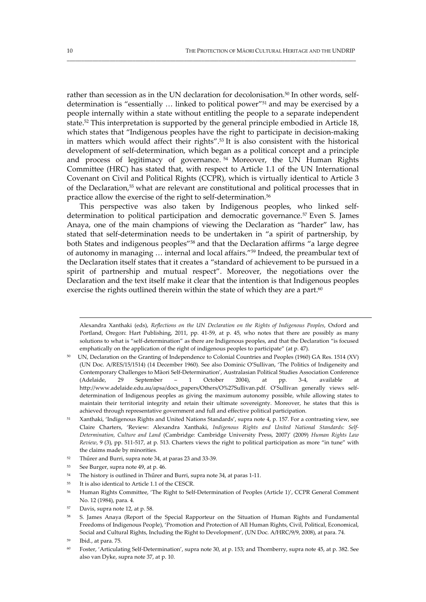rather than secession as in the UN declaration for decolonisation.<sup>50</sup> In other words, selfdetermination is "essentially … linked to political power"51 and may be exercised by a people internally within a state without entitling the people to a separate independent state.52 This interpretation is supported by the general principle embodied in Article 18, which states that "Indigenous peoples have the right to participate in decision-making in matters which would affect their rights".53 It is also consistent with the historical development of self‐determination, which began as a political concept and a principle and process of legitimacy of governance. <sup>54</sup> Moreover, the UN Human Rights Committee (HRC) has stated that, with respect to Article 1.1 of the UN International Covenant on Civil and Political Rights (CCPR), which is virtually identical to Article 3 of the Declaration,55 what are relevant are constitutional and political processes that in practice allow the exercise of the right to self-determination.<sup>56</sup>

\_\_\_\_\_\_\_\_\_\_\_\_\_\_\_\_\_\_\_\_\_\_\_\_\_\_\_\_\_\_\_\_\_\_\_\_\_\_\_\_\_\_\_\_\_\_\_\_\_\_\_\_\_\_\_\_\_\_\_\_\_\_\_\_\_\_\_\_\_\_\_\_\_\_\_\_\_\_\_\_\_\_\_\_\_\_\_\_\_\_\_\_\_\_\_\_\_\_\_\_\_

This perspective was also taken by Indigenous peoples, who linked selfdetermination to political participation and democratic governance.<sup>57</sup> Even S. James Anaya, one of the main champions of viewing the Declaration as "harder" law, has stated that self-determination needs to be undertaken in "a spirit of partnership, by both States and indigenous peoples"58 and that the Declaration affirms "a large degree of autonomy in managing … internal and local affairs."59 Indeed, the preambular text of the Declaration itself states that it creates a "standard of achievement to be pursued in a spirit of partnership and mutual respect". Moreover, the negotiations over the Declaration and the text itself make it clear that the intention is that Indigenous peoples exercise the rights outlined therein within the state of which they are a part. $60$ 

Alexandra Xanthaki (eds), *Reflections on the UN Declaration on the Rights of Indigenous Peoples*, Oxford and Portland, Oregon: Hart Publishing, 2011, pp. 41‐59, at p. 45, who notes that there are possibly as many solutions to what is "self-determination" as there are Indigenous peoples, and that the Declaration "is focused emphatically on the application of the right of indigenous peoples to participate" (at p. 47).

<sup>50</sup> UN, Declaration on the Granting of Independence to Colonial Countries and Peoples (1960) GA Res. 1514 (XV) (UN Doc. A/RES/15/1514) (14 December 1960). See also Dominic O'Sullivan, 'The Politics of Indigeneity and Contemporary Challenges to Māori Self‐Determination', Australasian Political Studies Association Conference (Adelaide, 29 September – 1 October 2004), at pp. 3‐4, available at http://www.adelaide.edu.au/apsa/docs\_papers/Others/O%27Sullivan.pdf. O'Sullivan generally views self‐ determination of Indigenous peoples as giving the maximum autonomy possible, while allowing states to maintain their territorial integrity and retain their ultimate sovereignty. Moreover, he states that this is achieved through representative government and full and effective political participation.

<sup>51</sup> Xanthaki, 'Indigenous Rights and United Nations Standards', supra note 4, p. 157. For a contrasting view, see Claire Charters, 'Review: Alexandra Xanthaki, *Indigenous Rights and United National Standards: Self‐ Determination, Culture and Land* (Cambridge: Cambridge University Press, 2007)' (2009) *Human Rights Law Review*, 9 (3), pp. 511‐517, at p. 513. Charters views the right to political participation as more "in tune" with the claims made by minorities.

<sup>52</sup> Thűrer and Burri, supra note 34, at paras 23 and 33‐39.

<sup>53</sup> See Burger, supra note 49, at p. 46.

<sup>54</sup> The history is outlined in Thűrer and Burri, supra note 34, at paras 1‐11.

<sup>55</sup> It is also identical to Article 1.1 of the CESCR.

<sup>56</sup> Human Rights Committee, 'The Right to Self‐Determination of Peoples (Article 1)', CCPR General Comment No. 12 (1984), para. 4.

Davis, supra note 12, at p. 58.

<sup>5.</sup> James Anaya (Report of the Special Rapporteur on the Situation of Human Rights and Fundamental Freedoms of Indigenous People), 'Promotion and Protection of All Human Rights, Civil, Political, Economical, Social and Cultural Rights, Including the Right to Development', (UN Doc. A/HRC/9/9, 2008), at para. 74.

Ibid., at para. 75.

<sup>60</sup> Foster, 'Articulating Self‐Determination', supra note 30, at p. 153; and Thornberry, supra note 45, at p. 382. See also van Dyke, supra note 37, at p. 10.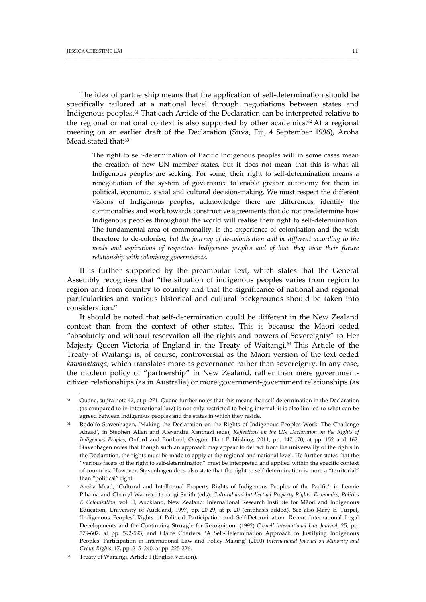The idea of partnership means that the application of self‐determination should be specifically tailored at a national level through negotiations between states and Indigenous peoples.61 That each Article of the Declaration can be interpreted relative to the regional or national context is also supported by other academics.<sup>62</sup> At a regional meeting on an earlier draft of the Declaration (Suva, Fiji, 4 September 1996), Aroha Mead stated that:<sup>63</sup>

\_\_\_\_\_\_\_\_\_\_\_\_\_\_\_\_\_\_\_\_\_\_\_\_\_\_\_\_\_\_\_\_\_\_\_\_\_\_\_\_\_\_\_\_\_\_\_\_\_\_\_\_\_\_\_\_\_\_\_\_\_\_\_\_\_\_\_\_\_\_\_\_\_\_\_\_\_\_\_\_\_\_\_\_\_\_\_\_\_\_\_\_\_\_\_\_\_\_\_\_\_\_

The right to self-determination of Pacific Indigenous peoples will in some cases mean the creation of new UN member states, but it does not mean that this is what all Indigenous peoples are seeking. For some, their right to self‐determination means a renegotiation of the system of governance to enable greater autonomy for them in political, economic, social and cultural decision-making. We must respect the different visions of Indigenous peoples, acknowledge there are differences, identify the commonalties and work towards constructive agreements that do not predetermine how Indigenous peoples throughout the world will realise their right to self‐determination. The fundamental area of commonality, is the experience of colonisation and the wish therefore to de‐colonise, *but the journey of de‐colonisation will be different according to the needs and aspirations of respective Indigenous peoples and of how they view their future relationship with colonising governments*.

It is further supported by the preambular text, which states that the General Assembly recognises that "the situation of indigenous peoples varies from region to region and from country to country and that the significance of national and regional particularities and various historical and cultural backgrounds should be taken into consideration."

It should be noted that self‐determination could be different in the New Zealand context than from the context of other states. This is because the Māori ceded "absolutely and without reservation all the rights and powers of Sovereignty" to Her Majesty Queen Victoria of England in the Treaty of Waitangi.<sup>64</sup> This Article of the Treaty of Waitangi is, of course, controversial as the Māori version of the text ceded *kawanatanga*, which translates more as governance rather than sovereignty. In any case, the modern policy of "partnership" in New Zealand, rather than mere governmentcitizen relationships (as in Australia) or more government‐government relationships (as

 $61$  Quane, supra note 42, at p. 271. Quane further notes that this means that self-determination in the Declaration (as compared to in international law) is not only restricted to being internal, it is also limited to what can be agreed between Indigenous peoples and the states in which they reside.

<sup>&</sup>lt;sup>62</sup> Rodolfo Stavenhagen, 'Making the Declaration on the Rights of Indigenous Peoples Work: The Challenge Ahead', in Stephen Allen and Alexandra Xanthaki (eds), *Reflections on the UN Declaration on the Rights of Indigenous Peoples*, Oxford and Portland, Oregon: Hart Publishing, 2011, pp. 147‐170, at pp. 152 and 162. Stavenhagen notes that though such an approach may appear to detract from the universality of the rights in the Declaration, the rights must be made to apply at the regional and national level. He further states that the "various facets of the right to self‐determination" must be interpreted and applied within the specific context of countries. However, Stavenhagen does also state that the right to self‐determination is more a "territorial" than "political" right.

<sup>&</sup>lt;sup>63</sup> Aroha Mead, 'Cultural and Intellectual Property Rights of Indigenous Peoples of the Pacific', in Leonie Pihama and Cherryl Waerea‐i‐te‐rangi Smith (eds), *Cultural and Intellectual Property Rights. Economics, Politics & Colonisation*, vol. II, Auckland, New Zealand: International Research Institute for Māori and Indigenous Education, University of Auckland, 1997, pp. 20‐29, at p. 20 (emphasis added). See also Mary E. Turpel, 'Indigenous Peoples' Rights of Political Participation and Self‐Determination: Recent International Legal Developments and the Continuing Struggle for Recognition' (1992) *Cornell International Law Journal*, 25, pp. 579‐602, at pp. 592‐593; and Claire Charters, 'A Self‐Determination Approach to Justifying Indigenous Peoples' Participation in International Law and Policy Making' (2010) *International Journal on Minority and Group Rights*, 17, pp. 215–240, at pp. 225‐226.

Treaty of Waitangi, Article 1 (English version).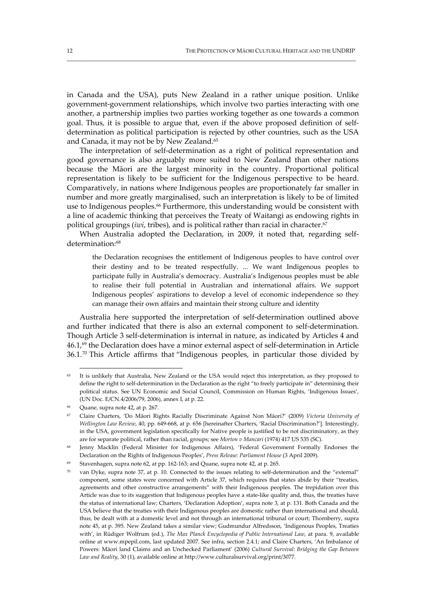in Canada and the USA), puts New Zealand in a rather unique position. Unlike government‐government relationships, which involve two parties interacting with one another, a partnership implies two parties working together as one towards a common goal. Thus, it is possible to argue that, even if the above proposed definition of self‐ determination as political participation is rejected by other countries, such as the USA and Canada, it may not be by New Zealand.<sup>65</sup>

\_\_\_\_\_\_\_\_\_\_\_\_\_\_\_\_\_\_\_\_\_\_\_\_\_\_\_\_\_\_\_\_\_\_\_\_\_\_\_\_\_\_\_\_\_\_\_\_\_\_\_\_\_\_\_\_\_\_\_\_\_\_\_\_\_\_\_\_\_\_\_\_\_\_\_\_\_\_\_\_\_\_\_\_\_\_\_\_\_\_\_\_\_\_\_\_\_\_\_\_\_

The interpretation of self-determination as a right of political representation and good governance is also arguably more suited to New Zealand than other nations because the Māori are the largest minority in the country. Proportional political representation is likely to be sufficient for the Indigenous perspective to be heard. Comparatively, in nations where Indigenous peoples are proportionately far smaller in number and more greatly marginalised, such an interpretation is likely to be of limited use to Indigenous peoples.<sup>66</sup> Furthermore, this understanding would be consistent with a line of academic thinking that perceives the Treaty of Waitangi as endowing rights in political groupings (*iwi*, tribes), and is political rather than racial in character.<sup>67</sup>

When Australia adopted the Declaration, in 2009, it noted that, regarding selfdetermination:<sup>68</sup>

the Declaration recognises the entitlement of Indigenous peoples to have control over their destiny and to be treated respectfully. ... We want Indigenous peoples to participate fully in Australia's democracy. Australia's Indigenous peoples must be able to realise their full potential in Australian and international affairs. We support Indigenous peoples' aspirations to develop a level of economic independence so they can manage their own affairs and maintain their strong culture and identity

Australia here supported the interpretation of self‐determination outlined above and further indicated that there is also an external component to self‐determination. Though Article 3 self-determination is internal in nature, as indicated by Articles 4 and 46.1,<sup>69</sup> the Declaration does have a minor external aspect of self-determination in Article  $36.1<sup>70</sup>$  This Article affirms that "Indigenous peoples, in particular those divided by

<sup>&</sup>lt;sup>65</sup> It is unlikely that Australia, New Zealand or the USA would reject this interpretation, as they proposed to define the right to self-determination in the Declaration as the right "to freely participate in" determining their political status. See UN Economic and Social Council, Commission on Human Rights, 'Indigenous Issues', (UN Doc. E/CN.4/2006/79, 2006), annex I, at p. 22.

<sup>66</sup> Quane, supra note 42, at p. 267.

<sup>67</sup> Claire Charters, 'Do Māori Rights Racially Discriminate Against Non Māori?' (2009) *Victoria University of Wellington Law Review*, 40, pp. 649‐668, at p. 656 [hereinafter Charters, 'Racial Discrimination?']. Interestingly, in the USA, government legislation specifically for Native people is justified to be not discriminatory, as they are for separate political, rather than racial, groups; see *Morton v Mancari* (1974) 417 US 535 (SC).

<sup>&</sup>lt;sup>68</sup> Jenny Macklin (Federal Minister for Indigenous Affairs), 'Federal Government Formally Endorses the Declaration on the Rights of Indigenous Peoples', *Press Release: Parliament House* (3 April 2009).

<sup>69</sup> Stavenhagen, supra note 62, at pp. 162‐163; and Quane, supra note 42, at p. 265.

 $70$  van Dyke, supra note 37, at p. 10. Connected to the issues relating to self-determination and the "external" component, some states were concerned with Article 37, which requires that states abide by their "treaties, agreements and other constructive arrangements" with their Indigenous peoples. The trepidation over this Article was due to its suggestion that Indigenous peoples have a state-like quality and, thus, the treaties have the status of international law; Charters, 'Declaration Adoption', supra note 3, at p. 131. Both Canada and the USA believe that the treaties with their Indigenous peoples are domestic rather than international and should, thus, be dealt with at a domestic level and not through an international tribunal or court; Thornberry, supra note 45, at p. 395. New Zealand takes a similar view; Gudmundur Alfredsson, 'Indigenous Peoples, Treaties with', in Rüdiger Wolfrum (ed.), *The Max Planck Encyclopedia of Public International Law*, at para. 9, available online at www.mpepil.com, last updated 2007. See infra, section 2.4.1; and Claire Charters, 'An Imbalance of Powers: Māori land Claims and an Unchecked Parliament' (2006) *Cultural Survival: Bridging the Gap Between Law and Reality*, 30 (1), available online at http://www.culturalsurvival.org/print/3077.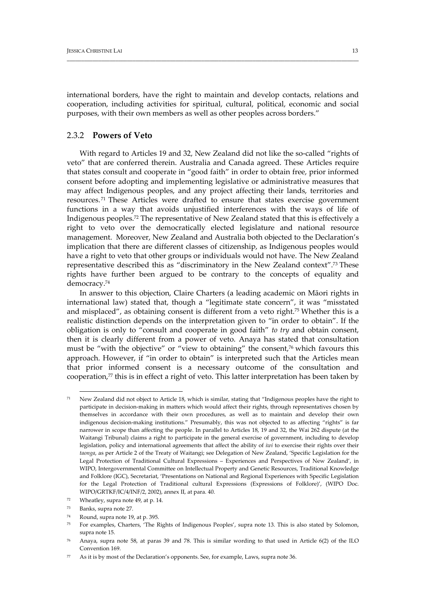international borders, have the right to maintain and develop contacts, relations and cooperation, including activities for spiritual, cultural, political, economic and social purposes, with their own members as well as other peoples across borders."

\_\_\_\_\_\_\_\_\_\_\_\_\_\_\_\_\_\_\_\_\_\_\_\_\_\_\_\_\_\_\_\_\_\_\_\_\_\_\_\_\_\_\_\_\_\_\_\_\_\_\_\_\_\_\_\_\_\_\_\_\_\_\_\_\_\_\_\_\_\_\_\_\_\_\_\_\_\_\_\_\_\_\_\_\_\_\_\_\_\_\_\_\_\_\_\_\_\_\_\_\_\_

## 2.3.2 **Powers of Veto**

With regard to Articles 19 and 32, New Zealand did not like the so-called "rights of veto" that are conferred therein. Australia and Canada agreed. These Articles require that states consult and cooperate in "good faith" in order to obtain free, prior informed consent before adopting and implementing legislative or administrative measures that may affect Indigenous peoples, and any project affecting their lands, territories and resources. <sup>71</sup> These Articles were drafted to ensure that states exercise government functions in a way that avoids unjustified interferences with the ways of life of Indigenous peoples.72 The representative of New Zealand stated that this is effectively a right to veto over the democratically elected legislature and national resource management. Moreover, New Zealand and Australia both objected to the Declaration's implication that there are different classes of citizenship, as Indigenous peoples would have a right to veto that other groups or individuals would not have. The New Zealand representative described this as "discriminatory in the New Zealand context".73 These rights have further been argued to be contrary to the concepts of equality and democracy.74

In answer to this objection, Claire Charters (a leading academic on Māori rights in international law) stated that, though a "legitimate state concern", it was "misstated and misplaced", as obtaining consent is different from a veto right.75 Whether this is a realistic distinction depends on the interpretation given to "in order to obtain". If the obligation is only to "consult and cooperate in good faith" *to try* and obtain consent, then it is clearly different from a power of veto. Anaya has stated that consultation must be "with the objective" or "view to obtaining" the consent,<sup>76</sup> which favours this approach. However, if "in order to obtain" is interpreted such that the Articles mean that prior informed consent is a necessary outcome of the consultation and cooperation, $77$  this is in effect a right of veto. This latter interpretation has been taken by

<sup>71</sup> New Zealand did not object to Article 18, which is similar, stating that "Indigenous peoples have the right to participate in decision-making in matters which would affect their rights, through representatives chosen by themselves in accordance with their own procedures, as well as to maintain and develop their own indigenous decision-making institutions." Presumably, this was not objected to as affecting "rights" is far narrower in scope than affecting the people. In parallel to Articles 18, 19 and 32, the Wai 262 dispute (at the Waitangi Tribunal) claims a right to participate in the general exercise of government, including to develop legislation, policy and international agreements that affect the ability of *iwi* to exercise their rights over their *taonga*, as per Article 2 of the Treaty of Waitangi; see Delegation of New Zealand, 'Specific Legislation for the Legal Protection of Traditional Cultural Expressions – Experiences and Perspectives of New Zealand', in WIPO, Intergovernmental Committee on Intellectual Property and Genetic Resources, Traditional Knowledge and Folklore (IGC), Secretariat, 'Presentations on National and Regional Experiences with Specific Legislation for the Legal Protection of Traditional cultural Expressions (Expressions of Folklore)', (WIPO Doc. WIPO/GRTKF/IC/4/INF/2, 2002), annex II, at para. 40.

<sup>72</sup> Wheatley, supra note 49, at p. 14.

<sup>73</sup> Banks, supra note 27.

<sup>74</sup> Round, supra note 19, at p. 395.

<sup>75</sup> For examples, Charters, 'The Rights of Indigenous Peoples', supra note 13. This is also stated by Solomon, supra note 15.

Anaya, supra note 58, at paras 39 and 78. This is similar wording to that used in Article 6(2) of the ILO Convention 169.

<sup>77</sup> As it is by most of the Declaration's opponents. See, for example, Laws, supra note 36.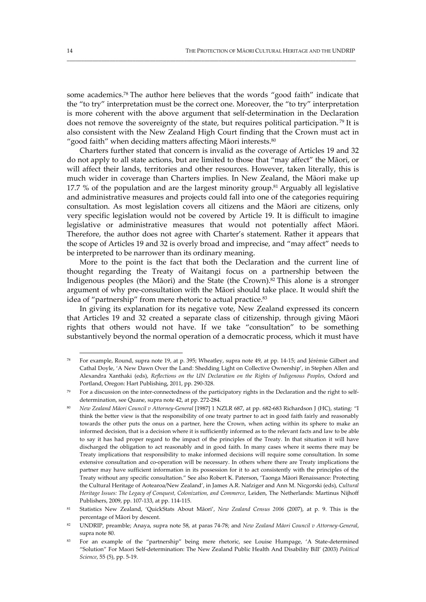some academics.78 The author here believes that the words "good faith" indicate that the "to try" interpretation must be the correct one. Moreover, the "to try" interpretation is more coherent with the above argument that self‐determination in the Declaration does not remove the sovereignty of the state, but requires political participation.<sup>79</sup> It is also consistent with the New Zealand High Court finding that the Crown must act in "good faith" when deciding matters affecting Māori interests.<sup>80</sup>

\_\_\_\_\_\_\_\_\_\_\_\_\_\_\_\_\_\_\_\_\_\_\_\_\_\_\_\_\_\_\_\_\_\_\_\_\_\_\_\_\_\_\_\_\_\_\_\_\_\_\_\_\_\_\_\_\_\_\_\_\_\_\_\_\_\_\_\_\_\_\_\_\_\_\_\_\_\_\_\_\_\_\_\_\_\_\_\_\_\_\_\_\_\_\_\_\_\_\_\_\_

Charters further stated that concern is invalid as the coverage of Articles 19 and 32 do not apply to all state actions, but are limited to those that "may affect" the Māori, or will affect their lands, territories and other resources. However, taken literally, this is much wider in coverage than Charters implies. In New Zealand, the Māori make up 17.7 % of the population and are the largest minority group.<sup>81</sup> Arguably all legislative and administrative measures and projects could fall into one of the categories requiring consultation. As most legislation covers all citizens and the Māori are citizens, only very specific legislation would not be covered by Article 19. It is difficult to imagine legislative or administrative measures that would not potentially affect Māori. Therefore, the author does not agree with Charter's statement. Rather it appears that the scope of Articles 19 and 32 is overly broad and imprecise, and "may affect" needs to be interpreted to be narrower than its ordinary meaning.

More to the point is the fact that both the Declaration and the current line of thought regarding the Treaty of Waitangi focus on a partnership between the Indigenous peoples (the Māori) and the State (the Crown).82 This alone is a stronger argument of why pre‐consultation with the Māori should take place. It would shift the idea of "partnership" from mere rhetoric to actual practice.<sup>83</sup>

In giving its explanation for its negative vote, New Zealand expressed its concern that Articles 19 and 32 created a separate class of citizenship, through giving Māori rights that others would not have. If we take "consultation" to be something substantively beyond the normal operation of a democratic process, which it must have

<sup>78</sup> For example, Round, supra note 19, at p. 395; Wheatley, supra note 49, at pp. 14‐15; and Jérémie Gilbert and Cathal Doyle, 'A New Dawn Over the Land: Shedding Light on Collective Ownership', in Stephen Allen and Alexandra Xanthaki (eds), *Reflections on the UN Declaration on the Rights of Indigenous Peoples*, Oxford and Portland, Oregon: Hart Publishing, 2011, pp. 290‐328.

<sup>79</sup> For a discussion on the inter-connectedness of the participatory rights in the Declaration and the right to selfdetermination, see Quane, supra note 42, at pp. 272‐284.

<sup>80</sup> *New Zealand Māori Council v Attorney‐General* [1987] 1 NZLR 687, at pp. 682‐683 Richardson J (HC), stating: "I think the better view is that the responsibility of one treaty partner to act in good faith fairly and reasonably towards the other puts the onus on a partner, here the Crown, when acting within its sphere to make an informed decision, that is a decision where it is sufficiently informed as to the relevant facts and law to be able to say it has had proper regard to the impact of the principles of the Treaty. In that situation it will have discharged the obligation to act reasonably and in good faith. In many cases where it seems there may be Treaty implications that responsibility to make informed decisions will require some consultation. In some extensive consultation and co-operation will be necessary. In others where there are Treaty implications the partner may have sufficient information in its possession for it to act consistently with the principles of the Treaty without any specific consultation." See also Robert K. Paterson, 'Taonga Māori Renaissance: Protecting the Cultural Heritage of Aotearoa/New Zealand', in James A.R. Nafziger and Ann M. Nicgorski (eds), *Cultural Heritage Issues: The Legacy of Conquest, Colonization, and Commerce*, Leiden, The Netherlands: Martinus Nijhoff Publishers, 2009, pp. 107‐133, at pp. 114‐115.

<sup>81</sup> Statistics New Zealand, 'QuickStats About Māori', *New Zealand Census 2006* (2007), at p. 9. This is the percentage of Māori by descent.

<sup>82</sup> UNDRIP, preamble; Anaya, supra note 58, at paras 74‐78; and *New Zealand Māori Council v Attorney‐General*, supra note 80.

<sup>83</sup> For an example of the "partnership" being mere rhetoric, see Louise Humpage, 'A State-determined "Solution" For Maori Self‐determination: The New Zealand Public Health And Disability Bill' (2003) *Political Science*, 55 (5), pp. 5‐19.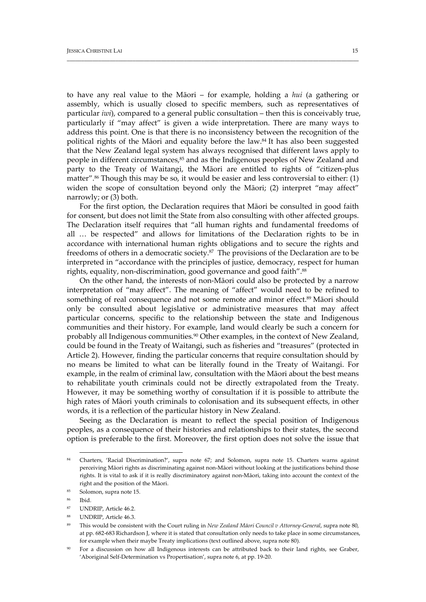to have any real value to the Māori – for example, holding a *hui* (a gathering or assembly, which is usually closed to specific members, such as representatives of particular *iwi*), compared to a general public consultation – then this is conceivably true, particularly if "may affect" is given a wide interpretation. There are many ways to address this point. One is that there is no inconsistency between the recognition of the political rights of the Māori and equality before the law. $84$  It has also been suggested that the New Zealand legal system has always recognised that different laws apply to people in different circumstances,<sup>85</sup> and as the Indigenous peoples of New Zealand and party to the Treaty of Waitangi, the Māori are entitled to rights of "citizen‐plus matter".86 Though this may be so, it would be easier and less controversial to either: (1) widen the scope of consultation beyond only the Māori; (2) interpret "may affect" narrowly; or (3) both.

\_\_\_\_\_\_\_\_\_\_\_\_\_\_\_\_\_\_\_\_\_\_\_\_\_\_\_\_\_\_\_\_\_\_\_\_\_\_\_\_\_\_\_\_\_\_\_\_\_\_\_\_\_\_\_\_\_\_\_\_\_\_\_\_\_\_\_\_\_\_\_\_\_\_\_\_\_\_\_\_\_\_\_\_\_\_\_\_\_\_\_\_\_\_\_\_\_\_\_\_\_\_

For the first option, the Declaration requires that Māori be consulted in good faith for consent, but does not limit the State from also consulting with other affected groups. The Declaration itself requires that "all human rights and fundamental freedoms of all … be respected" and allows for limitations of the Declaration rights to be in accordance with international human rights obligations and to secure the rights and freedoms of others in a democratic society.87 The provisions of the Declaration are to be interpreted in "accordance with the principles of justice, democracy, respect for human rights, equality, non-discrimination, good governance and good faith".<sup>88</sup>

On the other hand, the interests of non‐Māori could also be protected by a narrow interpretation of "may affect". The meaning of "affect" would need to be refined to something of real consequence and not some remote and minor effect.<sup>89</sup> Māori should only be consulted about legislative or administrative measures that may affect particular concerns, specific to the relationship between the state and Indigenous communities and their history. For example, land would clearly be such a concern for probably all Indigenous communities.<sup>90</sup> Other examples, in the context of New Zealand, could be found in the Treaty of Waitangi, such as fisheries and "treasures" (protected in Article 2). However, finding the particular concerns that require consultation should by no means be limited to what can be literally found in the Treaty of Waitangi. For example, in the realm of criminal law, consultation with the Māori about the best means to rehabilitate youth criminals could not be directly extrapolated from the Treaty. However, it may be something worthy of consultation if it is possible to attribute the high rates of Māori youth criminals to colonisation and its subsequent effects, in other words, it is a reflection of the particular history in New Zealand.

Seeing as the Declaration is meant to reflect the special position of Indigenous peoples, as a consequence of their histories and relationships to their states, the second option is preferable to the first. Moreover, the first option does not solve the issue that

<sup>84</sup> Charters, 'Racial Discrimination?', supra note 67; and Solomon, supra note 15. Charters warns against perceiving Māori rights as discriminating against non‐Māori without looking at the justifications behind those rights. It is vital to ask if it is really discriminatory against non‐Māori, taking into account the context of the right and the position of the Māori.

<sup>85</sup> Solomon, supra note 15.

<sup>86</sup> Ibid.

<sup>87</sup> UNDRIP, Article 46.2.

UNDRIP, Article 46.3.

<sup>89</sup> This would be consistent with the Court ruling in *New Zealand Māori Council v Attorney‐General*, supra note 80, at pp. 682‐683 Richardson J, where it is stated that consultation only needs to take place in some circumstances, for example when their maybe Treaty implications (text outlined above, supra note 80).

<sup>&</sup>lt;sup>90</sup> For a discussion on how all Indigenous interests can be attributed back to their land rights, see Graber, 'Aboriginal Self‐Determination vs Propertisation', supra note 6, at pp. 19‐20.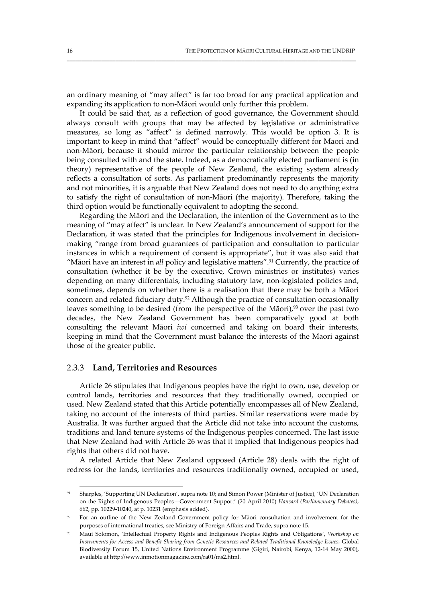an ordinary meaning of "may affect" is far too broad for any practical application and expanding its application to non‐Māori would only further this problem.

\_\_\_\_\_\_\_\_\_\_\_\_\_\_\_\_\_\_\_\_\_\_\_\_\_\_\_\_\_\_\_\_\_\_\_\_\_\_\_\_\_\_\_\_\_\_\_\_\_\_\_\_\_\_\_\_\_\_\_\_\_\_\_\_\_\_\_\_\_\_\_\_\_\_\_\_\_\_\_\_\_\_\_\_\_\_\_\_\_\_\_\_\_\_\_\_\_\_\_\_\_

It could be said that, as a reflection of good governance, the Government should always consult with groups that may be affected by legislative or administrative measures, so long as "affect" is defined narrowly. This would be option 3. It is important to keep in mind that "affect" would be conceptually different for Māori and non‐Māori, because it should mirror the particular relationship between the people being consulted with and the state. Indeed, as a democratically elected parliament is (in theory) representative of the people of New Zealand, the existing system already reflects a consultation of sorts. As parliament predominantly represents the majority and not minorities, it is arguable that New Zealand does not need to do anything extra to satisfy the right of consultation of non‐Māori (the majority). Therefore, taking the third option would be functionally equivalent to adopting the second.

Regarding the Māori and the Declaration, the intention of the Government as to the meaning of "may affect" is unclear. In New Zealand's announcement of support for the Declaration, it was stated that the principles for Indigenous involvement in decisionmaking "range from broad guarantees of participation and consultation to particular instances in which a requirement of consent is appropriate", but it was also said that "Māori have an interest in *all* policy and legislative matters".91 Currently, the practice of consultation (whether it be by the executive, Crown ministries or institutes) varies depending on many differentials, including statutory law, non-legislated policies and, sometimes, depends on whether there is a realisation that there may be both a Māori concern and related fiduciary duty.<sup>92</sup> Although the practice of consultation occasionally leaves something to be desired (from the perspective of the Māori), $93$  over the past two decades, the New Zealand Government has been comparatively good at both consulting the relevant Māori *iwi* concerned and taking on board their interests, keeping in mind that the Government must balance the interests of the Māori against those of the greater public.

#### 2.3.3 **Land, Territories and Resources**

Article 26 stipulates that Indigenous peoples have the right to own, use, develop or control lands, territories and resources that they traditionally owned, occupied or used. New Zealand stated that this Article potentially encompasses all of New Zealand, taking no account of the interests of third parties. Similar reservations were made by Australia. It was further argued that the Article did not take into account the customs, traditions and land tenure systems of the Indigenous peoples concerned. The last issue that New Zealand had with Article 26 was that it implied that Indigenous peoples had rights that others did not have.

A related Article that New Zealand opposed (Article 28) deals with the right of redress for the lands, territories and resources traditionally owned, occupied or used,

<sup>91</sup> Sharples, 'Supporting UN Declaration', supra note 10; and Simon Power (Minister of Justice), 'UN Declaration on the Rights of Indigenous Peoples—Government Support' (20 April 2010) *Hansard (Parliamentary Debates)*, 662, pp. 10229‐10240, at p. 10231 (emphasis added).

<sup>&</sup>lt;sup>92</sup> For an outline of the New Zealand Government policy for Māori consultation and involvement for the purposes of international treaties, see Ministry of Foreign Affairs and Trade, supra note 15.

<sup>93</sup> Maui Solomon, 'Intellectual Property Rights and Indigenous Peoples Rights and Obligations', *Workshop on Instruments for Access and Benefit Sharing from Genetic Resources and Related Traditional Knowledge Issues*, Global Biodiversity Forum 15, United Nations Environment Programme (Gigiri, Nairobi, Kenya, 12‐14 May 2000), available at http://www.inmotionmagazine.com/ra01/ms2.html.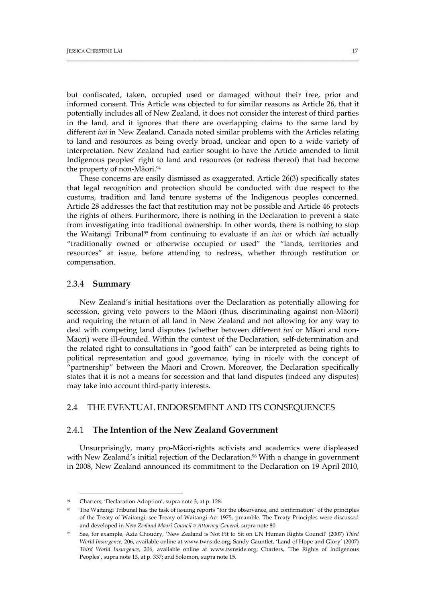but confiscated, taken, occupied used or damaged without their free, prior and informed consent. This Article was objected to for similar reasons as Article 26, that it potentially includes all of New Zealand, it does not consider the interest of third parties in the land, and it ignores that there are overlapping claims to the same land by different *iwi* in New Zealand. Canada noted similar problems with the Articles relating to land and resources as being overly broad, unclear and open to a wide variety of interpretation. New Zealand had earlier sought to have the Article amended to limit Indigenous peoples' right to land and resources (or redress thereof) that had become the property of non-Māori.<sup>94</sup>

\_\_\_\_\_\_\_\_\_\_\_\_\_\_\_\_\_\_\_\_\_\_\_\_\_\_\_\_\_\_\_\_\_\_\_\_\_\_\_\_\_\_\_\_\_\_\_\_\_\_\_\_\_\_\_\_\_\_\_\_\_\_\_\_\_\_\_\_\_\_\_\_\_\_\_\_\_\_\_\_\_\_\_\_\_\_\_\_\_\_\_\_\_\_\_\_\_\_\_\_\_\_

These concerns are easily dismissed as exaggerated. Article 26(3) specifically states that legal recognition and protection should be conducted with due respect to the customs, tradition and land tenure systems of the Indigenous peoples concerned. Article 28 addresses the fact that restitution may not be possible and Article 46 protects the rights of others. Furthermore, there is nothing in the Declaration to prevent a state from investigating into traditional ownership. In other words, there is nothing to stop the Waitangi Tribunal95 from continuing to evaluate if an *iwi* or which *iwi* actually "traditionally owned or otherwise occupied or used" the "lands, territories and resources" at issue, before attending to redress, whether through restitution or compensation.

#### 2.3.4 **Summary**

New Zealand's initial hesitations over the Declaration as potentially allowing for secession, giving veto powers to the Māori (thus, discriminating against non‐Māori) and requiring the return of all land in New Zealand and not allowing for any way to deal with competing land disputes (whether between different *iwi* or Māori and non‐ Māori) were ill-founded. Within the context of the Declaration, self-determination and the related right to consultations in "good faith" can be interpreted as being rights to political representation and good governance, tying in nicely with the concept of "partnership" between the Māori and Crown. Moreover, the Declaration specifically states that it is not a means for secession and that land disputes (indeed any disputes) may take into account third‐party interests.

## 2.4 THE EVENTUAL ENDORSEMENT AND ITS CONSEQUENCES

## 2.4.1 **The Intention of the New Zealand Government**

Unsurprisingly, many pro‐Māori‐rights activists and academics were displeased with New Zealand's initial rejection of the Declaration.<sup>96</sup> With a change in government in 2008, New Zealand announced its commitment to the Declaration on 19 April 2010,

<sup>94</sup> Charters, 'Declaration Adoption', supra note 3, at p. 128.

The Waitangi Tribunal has the task of issuing reports "for the observance, and confirmation" of the principles of the Treaty of Waitangi; see Treaty of Waitangi Act 1975, preamble. The Treaty Principles were discussed and developed in *New Zealand Māori Council v Attorney‐General*, supra note 80.

<sup>96</sup> See, for example, Aziz Choudry, 'New Zealand is Not Fit to Sit on UN Human Rights Council' (2007) *Third World Insurgence*, 206, available online at www.twnside.org; Sandy Gauntlet, 'Land of Hope and Glory' (2007) *Third World Insurgence*, 206, available online at www.twnside.org; Charters, 'The Rights of Indigenous Peoples', supra note 13, at p. 337; and Solomon, supra note 15.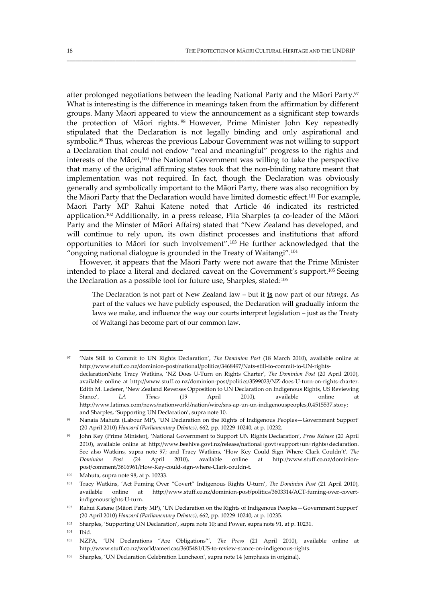after prolonged negotiations between the leading National Party and the Māori Party.97 What is interesting is the difference in meanings taken from the affirmation by different groups. Many Māori appeared to view the announcement as a significant step towards the protection of Māori rights. <sup>98</sup> However, Prime Minister John Key repeatedly stipulated that the Declaration is not legally binding and only aspirational and symbolic.<sup>99</sup> Thus, whereas the previous Labour Government was not willing to support a Declaration that could not endow "real and meaningful" progress to the rights and interests of the Māori,100 the National Government was willing to take the perspective that many of the original affirming states took that the non‐binding nature meant that implementation was not required. In fact, though the Declaration was obviously generally and symbolically important to the Māori Party, there was also recognition by the Māori Party that the Declaration would have limited domestic effect.<sup>101</sup> For example, Māori Party MP Rahui Katene noted that Article 46 indicated its restricted application.<sup>102</sup> Additionally, in a press release, Pita Sharples (a co-leader of the Māori Party and the Minster of Māori Affairs) stated that "New Zealand has developed, and will continue to rely upon, its own distinct processes and institutions that afford opportunities to Māori for such involvement".103 He further acknowledged that the "ongoing national dialogue is grounded in the Treaty of Waitangi".104

\_\_\_\_\_\_\_\_\_\_\_\_\_\_\_\_\_\_\_\_\_\_\_\_\_\_\_\_\_\_\_\_\_\_\_\_\_\_\_\_\_\_\_\_\_\_\_\_\_\_\_\_\_\_\_\_\_\_\_\_\_\_\_\_\_\_\_\_\_\_\_\_\_\_\_\_\_\_\_\_\_\_\_\_\_\_\_\_\_\_\_\_\_\_\_\_\_\_\_\_\_

However, it appears that the Māori Party were not aware that the Prime Minister intended to place a literal and declared caveat on the Government's support.105 Seeing the Declaration as a possible tool for future use, Sharples, stated:106

The Declaration is not part of New Zealand law – but it **is** now part of our *tikanga*. As part of the values we have publicly espoused, the Declaration will gradually inform the laws we make, and influence the way our courts interpret legislation – just as the Treaty of Waitangi has become part of our common law.

<sup>97</sup> 'Nats Still to Commit to UN Rights Declaration', *The Dominion Post* (18 March 2010), available online at http://www.stuff.co.nz/dominion‐post/national/politics/3468497/Nats‐still‐to‐commit‐to‐UN‐rights‐ declarationNats; Tracy Watkins, 'NZ Does U‐Turn on Rights Charter', *The Dominion Post* (20 April 2010), available online at http://www.stuff.co.nz/dominion‐post/politics/3599023/NZ‐does‐U‐turn‐on‐rights‐charter. Edith M. Lederer, 'New Zealand Reverses Opposition to UN Declaration on Indigenous Rights, US Reviewing Stance', *LA Times* (19 April 2010), available online at http://www.latimes.com/news/nationworld/nation/wire/sns‐ap‐un‐un‐indigenouspeoples,0,4515537.story; and Sharples, 'Supporting UN Declaration', supra note 10.

<sup>98</sup> Nanaia Mahuta (Labour MP), 'UN Declaration on the Rights of Indigenous Peoples—Government Support' (20 April 2010) *Hansard (Parliamentary Debates)*, 662, pp. 10229‐10240, at p. 10232.

<sup>99</sup> John Key (Prime Minister), 'National Government to Support UN Rights Declaration', *Press Release* (20 April 2010), available online at http://www.beehive.govt.nz/release/national+govt+support+un+rights+declaration. See also Watkins, supra note 97; and Tracy Watkins, 'How Key Could Sign Where Clark Couldn't'*, The Dominion Post* (24 April 2010), available online at http://www.stuff.co.nz/dominion‐ post/comment/3616961/How‐Key‐could‐sign‐where‐Clark‐couldn‐t.

<sup>100</sup> Mahuta, supra note 98, at p. 10233.

<sup>101</sup> Tracy Watkins, 'Act Fuming Over "Covert" Indigenous Rights U‐turn', *The Dominion Post* (21 April 2010), available online at http://www.stuff.co.nz/dominion‐post/politics/3603314/ACT‐fuming‐over‐covert‐ indigenousrights‐U‐turn.

<sup>102</sup> Rahui Katene (Māori Party MP), 'UN Declaration on the Rights of Indigenous Peoples—Government Support' (20 April 2010) *Hansard (Parliamentary Debates)*, 662, pp. 10229‐10240, at p. 10235.

<sup>103</sup> Sharples, 'Supporting UN Declaration', supra note 10; and Power, supra note 91, at p. 10231.

<sup>104</sup> Ibid.

<sup>105</sup> NZPA, 'UN Declarations "Are Obligations"', *The Press* (21 April 2010), available online at http://www.stuff.co.nz/world/americas/3605481/US‐to‐review‐stance‐on‐indigenous‐rights.

<sup>106</sup> Sharples, 'UN Declaration Celebration Luncheon', supra note 14 (emphasis in original).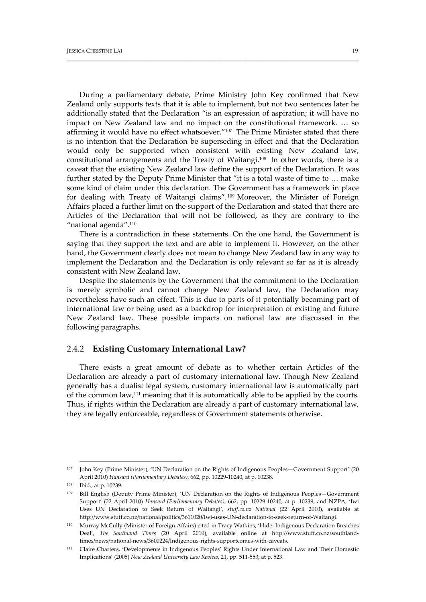During a parliamentary debate, Prime Ministry John Key confirmed that New Zealand only supports texts that it is able to implement, but not two sentences later he additionally stated that the Declaration "is an expression of aspiration; it will have no impact on New Zealand law and no impact on the constitutional framework. … so affirming it would have no effect whatsoever."107 The Prime Minister stated that there is no intention that the Declaration be superseding in effect and that the Declaration would only be supported when consistent with existing New Zealand law, constitutional arrangements and the Treaty of Waitangi.108 In other words, there is a caveat that the existing New Zealand law define the support of the Declaration. It was further stated by the Deputy Prime Minister that "it is a total waste of time to … make some kind of claim under this declaration. The Government has a framework in place for dealing with Treaty of Waitangi claims". <sup>109</sup> Moreover, the Minister of Foreign Affairs placed a further limit on the support of the Declaration and stated that there are Articles of the Declaration that will not be followed, as they are contrary to the "national agenda".<sup>110</sup>

\_\_\_\_\_\_\_\_\_\_\_\_\_\_\_\_\_\_\_\_\_\_\_\_\_\_\_\_\_\_\_\_\_\_\_\_\_\_\_\_\_\_\_\_\_\_\_\_\_\_\_\_\_\_\_\_\_\_\_\_\_\_\_\_\_\_\_\_\_\_\_\_\_\_\_\_\_\_\_\_\_\_\_\_\_\_\_\_\_\_\_\_\_\_\_\_\_\_\_\_\_\_

There is a contradiction in these statements. On the one hand, the Government is saying that they support the text and are able to implement it. However, on the other hand, the Government clearly does not mean to change New Zealand law in any way to implement the Declaration and the Declaration is only relevant so far as it is already consistent with New Zealand law.

Despite the statements by the Government that the commitment to the Declaration is merely symbolic and cannot change New Zealand law, the Declaration may nevertheless have such an effect. This is due to parts of it potentially becoming part of international law or being used as a backdrop for interpretation of existing and future New Zealand law. These possible impacts on national law are discussed in the following paragraphs.

#### 2.4.2 **Existing Customary International Law?**

There exists a great amount of debate as to whether certain Articles of the Declaration are already a part of customary international law. Though New Zealand generally has a dualist legal system, customary international law is automatically part of the common law,111 meaning that it is automatically able to be applied by the courts. Thus, if rights within the Declaration are already a part of customary international law, they are legally enforceable, regardless of Government statements otherwise.

<sup>107</sup> John Key (Prime Minister), 'UN Declaration on the Rights of Indigenous Peoples—Government Support' (20 April 2010) *Hansard (Parliamentary Debates)*, 662, pp. 10229‐10240, at p. 10238.

<sup>108</sup> Ibid., at p. 10239.

<sup>109</sup> Bill English (Deputy Prime Minister), 'UN Declaration on the Rights of Indigenous Peoples—Government Support' (22 April 2010) *Hansard (Parliamentary Debates)*, 662, pp. 10229‐10240, at p. 10239; and NZPA, 'Iwi Uses UN Declaration to Seek Return of Waitangi', *stuff.co.nz National* (22 April 2010), available at http://www.stuff.co.nz/national/politics/3611020/Iwi-uses-UN-declaration-to-seek-return-of-Waitangi.

<sup>110</sup> Murray McCully (Minister of Foreign Affairs) cited in Tracy Watkins, 'Hide: Indigenous Declaration Breaches Deal', *The Southland Times* (20 April 2010), available online at http://www.stuff.co.nz/southland‐ times/news/national‐news/3600224/Indigenous‐rights‐supportcomes‐with‐caveats.

<sup>111</sup> Claire Charters, 'Developments in Indigenous Peoples' Rights Under International Law and Their Domestic Implications' (2005) *New Zealand University Law Review*, 21, pp. 511‐553, at p. 523.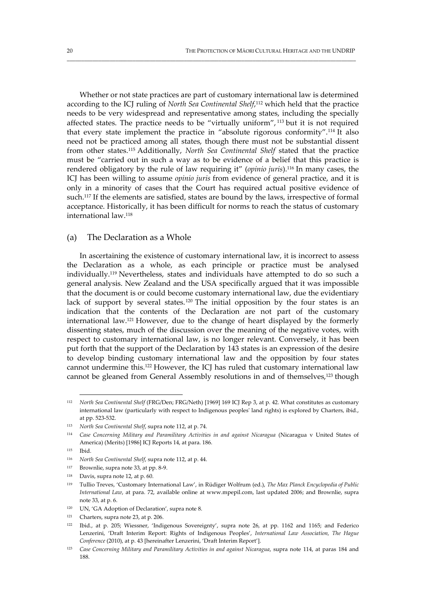Whether or not state practices are part of customary international law is determined according to the ICJ ruling of *North Sea Continental Shelf*, <sup>112</sup> which held that the practice needs to be very widespread and representative among states, including the specially affected states. The practice needs to be "virtually uniform", <sup>113</sup> but it is not required that every state implement the practice in "absolute rigorous conformity".114 It also need not be practiced among all states, though there must not be substantial dissent from other states.115 Additionally, *North Sea Continental Shelf* stated that the practice must be "carried out in such a way as to be evidence of a belief that this practice is rendered obligatory by the rule of law requiring it" (*opinio juris*).116 In many cases, the ICJ has been willing to assume *opinio juris* from evidence of general practice, and it is only in a minority of cases that the Court has required actual positive evidence of such.<sup>117</sup> If the elements are satisfied, states are bound by the laws, irrespective of formal acceptance. Historically, it has been difficult for norms to reach the status of customary international law.118

\_\_\_\_\_\_\_\_\_\_\_\_\_\_\_\_\_\_\_\_\_\_\_\_\_\_\_\_\_\_\_\_\_\_\_\_\_\_\_\_\_\_\_\_\_\_\_\_\_\_\_\_\_\_\_\_\_\_\_\_\_\_\_\_\_\_\_\_\_\_\_\_\_\_\_\_\_\_\_\_\_\_\_\_\_\_\_\_\_\_\_\_\_\_\_\_\_\_\_\_\_

#### (a) The Declaration as a Whole

In ascertaining the existence of customary international law, it is incorrect to assess the Declaration as a whole, as each principle or practice must be analysed individually.119 Nevertheless, states and individuals have attempted to do so such a general analysis. New Zealand and the USA specifically argued that it was impossible that the document is or could become customary international law, due the evidentiary lack of support by several states.<sup>120</sup> The initial opposition by the four states is an indication that the contents of the Declaration are not part of the customary international law.121 However, due to the change of heart displayed by the formerly dissenting states, much of the discussion over the meaning of the negative votes, with respect to customary international law, is no longer relevant. Conversely, it has been put forth that the support of the Declaration by 143 states is an expression of the desire to develop binding customary international law and the opposition by four states cannot undermine this.122 However, the ICJ has ruled that customary international law cannot be gleaned from General Assembly resolutions in and of themselves,<sup>123</sup> though

<sup>112</sup> *North Sea Continental Shelf* (FRG/Den; FRG/Neth) [1969] 169 ICJ Rep 3, at p. 42. What constitutes as customary international law (particularly with respect to Indigenous peoplesʹ land rights) is explored by Charters, ibid., at pp. 523‐532.

<sup>113</sup> *North Sea Continental Shelf*, supra note 112, at p. 74.

<sup>114</sup> *Case Concerning Military and Paramilitary Activities in and against Nicaragua* (Nicaragua v United States of America) (Merits) [1986] ICJ Reports 14, at para. 186.

<sup>115</sup> Ibid.

<sup>116</sup> *North Sea Continental Shelf*, supra note 112, at p. 44.

 $117$  Brownlie, supra note 33, at pp. 8-9.

 $118$  Davis, supra note 12, at p. 60.

<sup>119</sup> Tullio Treves, 'Customary International Law', in Rüdiger Wolfrum (ed.), *The Max Planck Encyclopedia of Public International Law*, at para. 72, available online at www.mpepil.com, last updated 2006; and Brownlie, supra note 33, at p. 6.

<sup>&</sup>lt;sup>120</sup> UN, 'GA Adoption of Declaration', supra note 8.

<sup>121</sup> Charters, supra note 23, at p. 206.

<sup>122</sup> Ibid., at p. 205; Wiessner, 'Indigenous Sovereignty', supra note 26, at pp. 1162 and 1165; and Federico Lenzerini, 'Draft Interim Report: Rights of Indigenous Peoples', *International Law Association, The Hague Conference* (2010), at p. 43 [hereinafter Lenzerini, 'Draft Interim Report'].

<sup>123</sup> *Case Concerning Military and Paramilitary Activities in and against Nicaragua*, supra note 114, at paras 184 and 188.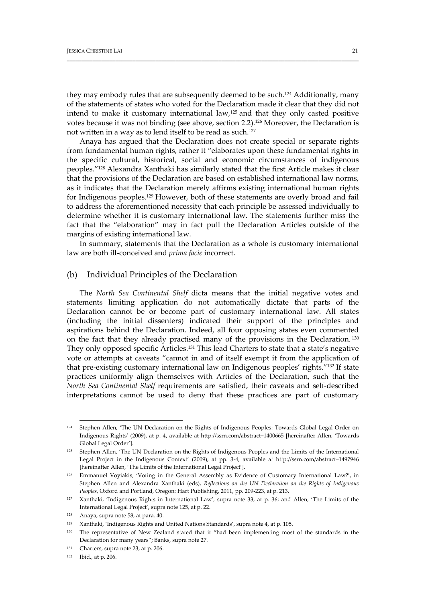they may embody rules that are subsequently deemed to be such.124 Additionally, many of the statements of states who voted for the Declaration made it clear that they did not intend to make it customary international law,125 and that they only casted positive votes because it was not binding (see above, section 2.2).126 Moreover, the Declaration is not written in a way as to lend itself to be read as such.127

\_\_\_\_\_\_\_\_\_\_\_\_\_\_\_\_\_\_\_\_\_\_\_\_\_\_\_\_\_\_\_\_\_\_\_\_\_\_\_\_\_\_\_\_\_\_\_\_\_\_\_\_\_\_\_\_\_\_\_\_\_\_\_\_\_\_\_\_\_\_\_\_\_\_\_\_\_\_\_\_\_\_\_\_\_\_\_\_\_\_\_\_\_\_\_\_\_\_\_\_\_\_

Anaya has argued that the Declaration does not create special or separate rights from fundamental human rights, rather it "elaborates upon these fundamental rights in the specific cultural, historical, social and economic circumstances of indigenous peoples."128 Alexandra Xanthaki has similarly stated that the first Article makes it clear that the provisions of the Declaration are based on established international law norms, as it indicates that the Declaration merely affirms existing international human rights for Indigenous peoples.129 However, both of these statements are overly broad and fail to address the aforementioned necessity that each principle be assessed individually to determine whether it is customary international law. The statements further miss the fact that the "elaboration" may in fact pull the Declaration Articles outside of the margins of existing international law.

In summary, statements that the Declaration as a whole is customary international law are both ill‐conceived and *prima facie* incorrect.

#### (b) Individual Principles of the Declaration

The *North Sea Continental Shelf* dicta means that the initial negative votes and statements limiting application do not automatically dictate that parts of the Declaration cannot be or become part of customary international law. All states (including the initial dissenters) indicated their support of the principles and aspirations behind the Declaration. Indeed, all four opposing states even commented on the fact that they already practised many of the provisions in the Declaration. <sup>130</sup> They only opposed specific Articles.<sup>131</sup> This lead Charters to state that a state's negative vote or attempts at caveats "cannot in and of itself exempt it from the application of that pre-existing customary international law on Indigenous peoples' rights."<sup>132</sup> If state practices uniformly align themselves with Articles of the Declaration, such that the *North Sea Continental Shelf* requirements are satisfied, their caveats and self‐described interpretations cannot be used to deny that these practices are part of customary

<sup>132</sup> Ibid., at p. 206.

<sup>124</sup> Stephen Allen, 'The UN Declaration on the Rights of Indigenous Peoples: Towards Global Legal Order on Indigenous Rights' (2009), at p. 4, available at http://ssrn.com/abstract=1400665 [hereinafter Allen, 'Towards Global Legal Order'].

<sup>&</sup>lt;sup>125</sup> Stephen Allen, 'The UN Declaration on the Rights of Indigenous Peoples and the Limits of the International Legal Project in the Indigenous Context' (2009), at pp. 3‐4, available at http://ssrn.com/abstract=1497946 [hereinafter Allen, 'The Limits of the International Legal Project'].

<sup>126</sup> Emmanuel Voyiakis, 'Voting in the General Assembly as Evidence of Customary International Law?', in Stephen Allen and Alexandra Xanthaki (eds), *Reflections on the UN Declaration on the Rights of Indigenous Peoples*, Oxford and Portland, Oregon: Hart Publishing, 2011, pp. 209‐223, at p. 213.

<sup>127</sup> Xanthaki, 'Indigenous Rights in International Law', supra note 33, at p. 36; and Allen, 'The Limits of the International Legal Project', supra note 125, at p. 22.

 $128$  Anaya, supra note 58, at para. 40.

<sup>129</sup> Xanthaki, 'Indigenous Rights and United Nations Standards', supra note 4, at p. 105.

<sup>&</sup>lt;sup>130</sup> The representative of New Zealand stated that it "had been implementing most of the standards in the Declaration for many years"; Banks, supra note 27.

<sup>131</sup> Charters, supra note 23, at p. 206.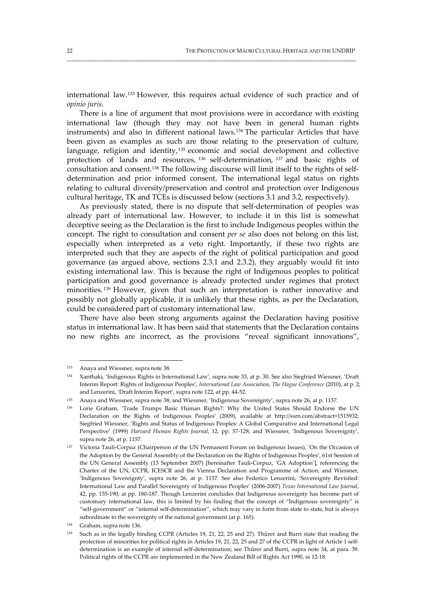international law.133 However, this requires actual evidence of such practice and of *opinio juris*.

\_\_\_\_\_\_\_\_\_\_\_\_\_\_\_\_\_\_\_\_\_\_\_\_\_\_\_\_\_\_\_\_\_\_\_\_\_\_\_\_\_\_\_\_\_\_\_\_\_\_\_\_\_\_\_\_\_\_\_\_\_\_\_\_\_\_\_\_\_\_\_\_\_\_\_\_\_\_\_\_\_\_\_\_\_\_\_\_\_\_\_\_\_\_\_\_\_\_\_\_\_

There is a line of argument that most provisions were in accordance with existing international law (though they may not have been in general human rights instruments) and also in different national laws.134 The particular Articles that have been given as examples as such are those relating to the preservation of culture, language, religion and identity,<sup>135</sup> economic and social development and collective protection of lands and resources, <sup>136</sup> self-determination, <sup>137</sup> and basic rights of consultation and consent.<sup>138</sup> The following discourse will limit itself to the rights of selfdetermination and prior informed consent. The international legal status on rights relating to cultural diversity/preservation and control and protection over Indigenous cultural heritage, TK and TCEs is discussed below (sections 3.1 and 3.2, respectively).

As previously stated, there is no dispute that self-determination of peoples was already part of international law. However, to include it in this list is somewhat deceptive seeing as the Declaration is the first to include Indigenous peoples within the concept. The right to consultation and consent *per se* also does not belong on this list, especially when interpreted as a veto right. Importantly, if these two rights are interpreted such that they are aspects of the right of political participation and good governance (as argued above, sections 2.3.1 and 2.3.2), they arguably would fit into existing international law. This is because the right of Indigenous peoples to political participation and good governance is already protected under regimes that protect minorities. <sup>139</sup> However, given that such an interpretation is rather innovative and possibly not globally applicable, it is unlikely that these rights, as per the Declaration, could be considered part of customary international law.

There have also been strong arguments against the Declaration having positive status in international law. It has been said that statements that the Declaration contains no new rights are incorrect, as the provisions "reveal significant innovations",

<sup>133</sup> Anaya and Wiessner, supra note 38.

<sup>134</sup> Xanthaki, 'Indigenous Rights in International Law', supra note 33, at p. 30. See also Siegfried Wiessner, 'Draft Interim Report: Rights of Indigenous Peoples', *International Law Association, The Hague Conference* (2010), at p. 2; and Lenzerini, 'Draft Interim Report', supra note 122, at pp. 44‐52.

<sup>135</sup> Anaya and Wiessner, supra note 38; and Wiessner, 'Indigenous Sovereignty', supra note 26, at p. 1157.

<sup>136</sup> Lorie Graham, 'Trade Trumps Basic Human Rights?: Why the United States Should Endorse the UN Declaration on the Rights of Indigenous Peoples' (2009), available at http://ssrn.com/abstract=1515932; Siegfried Wiessner, 'Rights and Status of Indigenous Peoples: A Global Comparative and International Legal Perspective' (1999) *Harvard Human Rights Journal*, 12, pp. 57‐128; and Wiessner, 'Indigenous Sovereignty', supra note 26, at p. 1157.

<sup>137</sup> Victoria Tauli‐Corpuz (Chairperson of the UN Permanent Forum on Indigenous Issues), 'On the Occasion of the Adoption by the General Assembly of the Declaration on the Rights of Indigenous Peoples', 61st Session of the UN General Assembly (13 September 2007) [hereinafter Tauli‐Corpuz, 'GA Adoption'], referencing the Charter of the UN, CCPR, ICESCR and the Vienna Declaration and Programme of Action; and Wiessner, 'Indigenous Sovereignty', supra note 26, at p. 1157. See also Federico Lenzerini, 'Sovereignty Revisited: International Law and Parallel Sovereignty of Indigenous Peoples' (2006‐2007) *Texas International Law Journal*, 42, pp. 155-190, at pp. 180-187. Though Lenzerini concludes that Indigenous sovereignty has become part of customary international law, this is limited by his finding that the concept of "Indigenous sovereignty" is "self‐government" or "internal self‐determination", which may vary in form from state to state, but is always subordinate to the sovereignty of the national government (at p. 165).

<sup>138</sup> Graham, supra note 136.

<sup>139</sup> Such as in the legally binding CCPR (Articles 19, 21, 22, 25 and 27). Thűrer and Burri state that reading the protection of minorities for political rights in Articles 19, 21, 22, 25 and 27 of the CCPR in light of Article 1 selfdetermination is an example of internal self-determination; see Thűrer and Burri, supra note 34, at para. 39. Political rights of the CCPR are implemented in the New Zealand Bill of Rights Act 1990, ss 12‐18.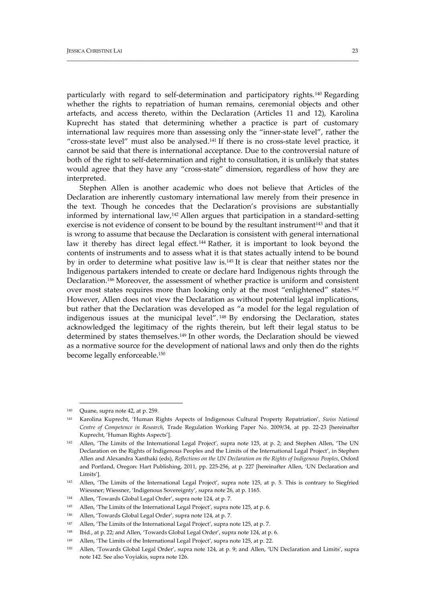particularly with regard to self-determination and participatory rights.<sup>140</sup> Regarding whether the rights to repatriation of human remains, ceremonial objects and other artefacts, and access thereto, within the Declaration (Articles 11 and 12), Karolina Kuprecht has stated that determining whether a practice is part of customary international law requires more than assessing only the "inner-state level", rather the "cross-state level" must also be analysed. $141$  If there is no cross-state level practice, it cannot be said that there is international acceptance. Due to the controversial nature of both of the right to self-determination and right to consultation, it is unlikely that states would agree that they have any "cross-state" dimension, regardless of how they are interpreted.

\_\_\_\_\_\_\_\_\_\_\_\_\_\_\_\_\_\_\_\_\_\_\_\_\_\_\_\_\_\_\_\_\_\_\_\_\_\_\_\_\_\_\_\_\_\_\_\_\_\_\_\_\_\_\_\_\_\_\_\_\_\_\_\_\_\_\_\_\_\_\_\_\_\_\_\_\_\_\_\_\_\_\_\_\_\_\_\_\_\_\_\_\_\_\_\_\_\_\_\_\_\_

Stephen Allen is another academic who does not believe that Articles of the Declaration are inherently customary international law merely from their presence in the text. Though he concedes that the Declaration's provisions are substantially informed by international law,142 Allen argues that participation in a standard‐setting exercise is not evidence of consent to be bound by the resultant instrument<sup>143</sup> and that it is wrong to assume that because the Declaration is consistent with general international law it thereby has direct legal effect.<sup>144</sup> Rather, it is important to look beyond the contents of instruments and to assess what it is that states actually intend to be bound by in order to determine what positive law is.145 It is clear that neither states nor the Indigenous partakers intended to create or declare hard Indigenous rights through the Declaration.146 Moreover, the assessment of whether practice is uniform and consistent over most states requires more than looking only at the most "enlightened" states.147 However, Allen does not view the Declaration as without potential legal implications, but rather that the Declaration was developed as "a model for the legal regulation of indigenous issues at the municipal level". <sup>148</sup> By endorsing the Declaration, states acknowledged the legitimacy of the rights therein, but left their legal status to be determined by states themselves.149 In other words, the Declaration should be viewed as a normative source for the development of national laws and only then do the rights become legally enforceable.150

<sup>145</sup> Allen, 'The Limits of the International Legal Project', supra note 125, at p. 6.

 $140$  Quane, supra note 42, at p. 259.

<sup>141</sup> Karolina Kuprecht, 'Human Rights Aspects of Indigenous Cultural Property Repatriation', *Swiss National Centre of Competence in Research*, Trade Regulation Working Paper No. 2009/34, at pp. 22‐23 [hereinafter Kuprecht, 'Human Rights Aspects'].

<sup>142</sup> Allen, 'The Limits of the International Legal Project', supra note 125, at p. 2; and Stephen Allen, 'The UN Declaration on the Rights of Indigenous Peoples and the Limits of the International Legal Project', in Stephen Allen and Alexandra Xanthaki (eds), *Reflections on the UN Declaration on the Rights of Indigenous Peoples*, Oxford and Portland, Oregon: Hart Publishing, 2011, pp. 225-256, at p. 227 [hereinafter Allen, 'UN Declaration and Limits'].

<sup>143</sup> Allen, 'The Limits of the International Legal Project', supra note 125, at p. 5. This is contrary to Siegfried Wiessner; Wiessner, 'Indigenous Sovereignty', supra note 26, at p. 1165.

<sup>144</sup> Allen, 'Towards Global Legal Order', supra note 124, at p. 7.

<sup>146</sup> Allen, 'Towards Global Legal Order', supra note 124, at p. 7.

<sup>147</sup> Allen, 'The Limits of the International Legal Project', supra note 125, at p. 7.

<sup>148</sup> Ibid., at p. 22; and Allen, 'Towards Global Legal Order', supra note 124, at p. 6.

<sup>149</sup> Allen, 'The Limits of the International Legal Project', supra note 125, at p. 22.

<sup>150</sup> Allen, 'Towards Global Legal Order', supra note 124, at p. 9; and Allen, 'UN Declaration and Limits', supra note 142. See also Voyiakis, supra note 126.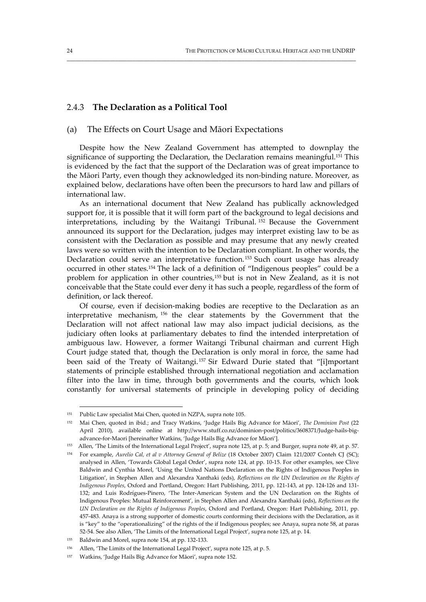# 2.4.3 **The Declaration as a Political Tool**

# (a) The Effects on Court Usage and Māori Expectations

Despite how the New Zealand Government has attempted to downplay the significance of supporting the Declaration, the Declaration remains meaningful.<sup>151</sup> This is evidenced by the fact that the support of the Declaration was of great importance to the Māori Party, even though they acknowledged its non‐binding nature. Moreover, as explained below, declarations have often been the precursors to hard law and pillars of international law.

\_\_\_\_\_\_\_\_\_\_\_\_\_\_\_\_\_\_\_\_\_\_\_\_\_\_\_\_\_\_\_\_\_\_\_\_\_\_\_\_\_\_\_\_\_\_\_\_\_\_\_\_\_\_\_\_\_\_\_\_\_\_\_\_\_\_\_\_\_\_\_\_\_\_\_\_\_\_\_\_\_\_\_\_\_\_\_\_\_\_\_\_\_\_\_\_\_\_\_\_\_

As an international document that New Zealand has publically acknowledged support for, it is possible that it will form part of the background to legal decisions and interpretations, including by the Waitangi Tribunal. <sup>152</sup> Because the Government announced its support for the Declaration, judges may interpret existing law to be as consistent with the Declaration as possible and may presume that any newly created laws were so written with the intention to be Declaration compliant. In other words, the Declaration could serve an interpretative function.153 Such court usage has already occurred in other states.154 The lack of a definition of "Indigenous peoples" could be a problem for application in other countries,155 but is not in New Zealand, as it is not conceivable that the State could ever deny it has such a people, regardless of the form of definition, or lack thereof.

Of course, even if decision‐making bodies are receptive to the Declaration as an interpretative mechanism, <sup>156</sup> the clear statements by the Government that the Declaration will not affect national law may also impact judicial decisions, as the judiciary often looks at parliamentary debates to find the intended interpretation of ambiguous law. However, a former Waitangi Tribunal chairman and current High Court judge stated that, though the Declaration is only moral in force, the same had been said of the Treaty of Waitangi. <sup>157</sup> Sir Edward Durie stated that "[i]mportant statements of principle established through international negotiation and acclamation filter into the law in time, through both governments and the courts, which look constantly for universal statements of principle in developing policy of deciding

<sup>151</sup> Public Law specialist Mai Chen, quoted in NZPA, supra note 105.

<sup>152</sup> Mai Chen, quoted in ibid.; and Tracy Watkins, 'Judge Hails Big Advance for Māori', *The Dominion Post* (22 April 2010), available online at http://www.stuff.co.nz/dominion-post/politics/3608371/Judge-hails-bigadvance‐for‐Maori [hereinafter Watkins, 'Judge Hails Big Advance for Māori'].

<sup>153</sup> Allen, 'The Limits of the International Legal Project', supra note 125, at p. 5; and Burger, supra note 49, at p. 57.

<sup>154</sup> For example, *Aurelio Cal, et al v Attorney General of Belize* (18 October 2007) Claim 121/2007 Conteh CJ (SC); analysed in Allen, 'Towards Global Legal Order', supra note 124, at pp. 10‐15. For other examples, see Clive Baldwin and Cynthia Morel, 'Using the United Nations Declaration on the Rights of Indigenous Peoples in Litigation', in Stephen Allen and Alexandra Xanthaki (eds), *Reflections on the UN Declaration on the Rights of Indigenous Peoples*, Oxford and Portland, Oregon: Hart Publishing, 2011, pp. 121‐143, at pp. 124‐126 and 131‐ 132; and Luis Rodrígues-Pinero, 'The Inter-American System and the UN Declaration on the Rights of Indigenous Peoples: Mutual Reinforcement', in Stephen Allen and Alexandra Xanthaki (eds), *Reflections on the UN Declaration on the Rights of Indigenous Peoples*, Oxford and Portland, Oregon: Hart Publishing, 2011, pp. 457‐483. Anaya is a strong supporter of domestic courts conforming their decisions with the Declaration, as it is "key" to the "operationalizing" of the rights of the if Indigenous peoples; see Anaya, supra note 58, at paras 52‐54. See also Allen, 'The Limits of the International Legal Project', supra note 125, at p. 14.

<sup>155</sup> Baldwin and Morel, supra note 154, at pp. 132‐133.

<sup>156</sup> Allen, 'The Limits of the International Legal Project', supra note 125, at p. 5.

<sup>157</sup> Watkins, 'Judge Hails Big Advance for Māori', supra note 152.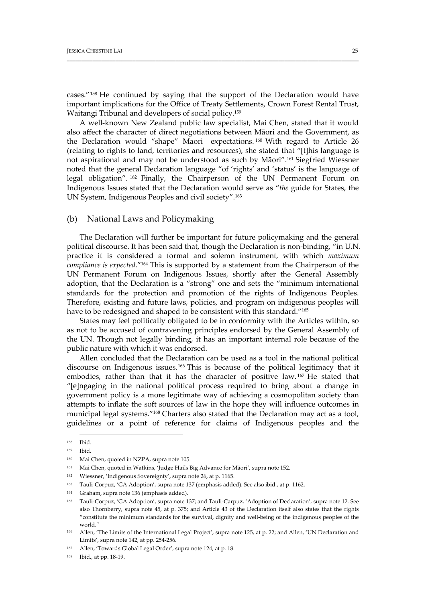cases."158 He continued by saying that the support of the Declaration would have important implications for the Office of Treaty Settlements, Crown Forest Rental Trust, Waitangi Tribunal and developers of social policy.159

\_\_\_\_\_\_\_\_\_\_\_\_\_\_\_\_\_\_\_\_\_\_\_\_\_\_\_\_\_\_\_\_\_\_\_\_\_\_\_\_\_\_\_\_\_\_\_\_\_\_\_\_\_\_\_\_\_\_\_\_\_\_\_\_\_\_\_\_\_\_\_\_\_\_\_\_\_\_\_\_\_\_\_\_\_\_\_\_\_\_\_\_\_\_\_\_\_\_\_\_\_\_

A well‐known New Zealand public law specialist, Mai Chen, stated that it would also affect the character of direct negotiations between Māori and the Government, as the Declaration would "shape" Māori expectations. <sup>160</sup> With regard to Article 26 (relating to rights to land, territories and resources), she stated that "[t]his language is not aspirational and may not be understood as such by Māori".161 Siegfried Wiessner noted that the general Declaration language "of 'rights' and 'status' is the language of legal obligation". <sup>162</sup> Finally, the Chairperson of the UN Permanent Forum on Indigenous Issues stated that the Declaration would serve as "*the* guide for States, the UN System, Indigenous Peoples and civil society".163

#### (b) National Laws and Policymaking

The Declaration will further be important for future policymaking and the general political discourse. It has been said that, though the Declaration is non‐binding, "in U.N. practice it is considered a formal and solemn instrument, with which *maximum compliance is expected*."164 This is supported by a statement from the Chairperson of the UN Permanent Forum on Indigenous Issues, shortly after the General Assembly adoption, that the Declaration is a "strong" one and sets the "minimum international standards for the protection and promotion of the rights of Indigenous Peoples. Therefore, existing and future laws, policies, and program on indigenous peoples will have to be redesigned and shaped to be consistent with this standard."<sup>165</sup>

States may feel politically obligated to be in conformity with the Articles within, so as not to be accused of contravening principles endorsed by the General Assembly of the UN. Though not legally binding, it has an important internal role because of the public nature with which it was endorsed.

Allen concluded that the Declaration can be used as a tool in the national political discourse on Indigenous issues.166 This is because of the political legitimacy that it embodies, rather than that it has the character of positive law. <sup>167</sup> He stated that "[e]ngaging in the national political process required to bring about a change in government policy is a more legitimate way of achieving a cosmopolitan society than attempts to inflate the soft sources of law in the hope they will influence outcomes in municipal legal systems."168 Charters also stated that the Declaration may act as a tool, guidelines or a point of reference for claims of Indigenous peoples and the

<sup>158</sup> Ibid.

<sup>159</sup> Ibid.

<sup>160</sup> Mai Chen, quoted in NZPA, supra note 105.

<sup>161</sup> Mai Chen, quoted in Watkins, 'Judge Hails Big Advance for Māori', supra note 152.

<sup>162</sup> Wiessner, 'Indigenous Sovereignty', supra note 26, at p. 1165.

<sup>163</sup> Tauli‐Corpuz, 'GA Adoption', supra note 137 (emphasis added). See also ibid., at p. 1162.

<sup>164</sup> Graham, supra note 136 (emphasis added).

<sup>165</sup> Tauli‐Corpuz, 'GA Adoption', supra note 137; and Tauli‐Carpuz, 'Adoption of Declaration', supra note 12. See also Thornberry, supra note 45, at p. 375; and Article 43 of the Declaration itself also states that the rights "constitute the minimum standards for the survival, dignity and well‐being of the indigenous peoples of the world."

<sup>166</sup> Allen, 'The Limits of the International Legal Project', supra note 125, at p. 22; and Allen, 'UN Declaration and Limits', supra note 142, at pp. 254‐256.

Allen, 'Towards Global Legal Order', supra note 124, at p. 18.

<sup>168</sup> Ibid., at pp. 18-19.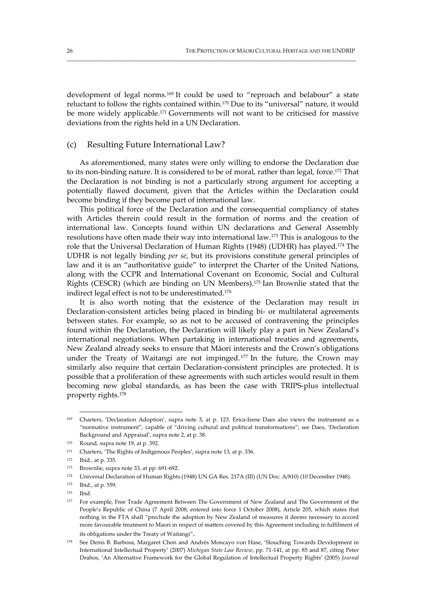development of legal norms.169 It could be used to "reproach and belabour" a state reluctant to follow the rights contained within.170 Due to its "universal" nature, it would be more widely applicable.171 Governments will not want to be criticised for massive deviations from the rights held in a UN Declaration.

\_\_\_\_\_\_\_\_\_\_\_\_\_\_\_\_\_\_\_\_\_\_\_\_\_\_\_\_\_\_\_\_\_\_\_\_\_\_\_\_\_\_\_\_\_\_\_\_\_\_\_\_\_\_\_\_\_\_\_\_\_\_\_\_\_\_\_\_\_\_\_\_\_\_\_\_\_\_\_\_\_\_\_\_\_\_\_\_\_\_\_\_\_\_\_\_\_\_\_\_\_

#### (c) Resulting Future International Law?

As aforementioned, many states were only willing to endorse the Declaration due to its non-binding nature. It is considered to be of moral, rather than legal, force.<sup>172</sup> That the Declaration is not binding is not a particularly strong argument for accepting a potentially flawed document, given that the Articles within the Declaration could become binding if they become part of international law.

This political force of the Declaration and the consequential compliancy of states with Articles therein could result in the formation of norms and the creation of international law. Concepts found within UN declarations and General Assembly resolutions have often made their way into international law.173 This is analogous to the role that the Universal Declaration of Human Rights (1948) (UDHR) has played.174 The UDHR is not legally binding *per se*, but its provisions constitute general principles of law and it is an "authoritative guide" to interpret the Charter of the United Nations, along with the CCPR and International Covenant on Economic, Social and Cultural Rights (CESCR) (which are binding on UN Members).175 Ian Brownlie stated that the indirect legal effect is not to be underestimated.<sup>176</sup>

It is also worth noting that the existence of the Declaration may result in Declaration-consistent articles being placed in binding bi- or multilateral agreements between states. For example, so as not to be accused of contravening the principles found within the Declaration, the Declaration will likely play a part in New Zealand's international negotiations. When partaking in international treaties and agreements, New Zealand already seeks to ensure that Māori interests and the Crown's obligations under the Treaty of Waitangi are not impinged.<sup>177</sup> In the future, the Crown may similarly also require that certain Declaration‐consistent principles are protected. It is possible that a proliferation of these agreements with such articles would result in them becoming new global standards, as has been the case with TRIPS‐plus intellectual property rights.178

<sup>169</sup> Charters, 'Declaration Adoption', supra note 3, at p. 123. Erica‐Irene Daes also views the instrument as a "normative instrument", capable of "driving cultural and political transformations"; see Daes, 'Declaration Background and Appraisal', supra note 2, at p. 38.

 $170$  Round, supra note 19, at p. 392.

<sup>&</sup>lt;sup>171</sup> Charters, 'The Rights of Indigenous Peoples', supra note 13, at p. 336.

<sup>172</sup> Ibid., at p. 335.

<sup>173</sup> Brownlie, supra note 33, at pp. 691‐692.

<sup>174</sup> Universal Declaration of Human Rights (1948) UN GA Res. 217A (III) (UN Doc. A/810) (10 December 1948).

<sup>175</sup> Ibid., at p. 559.

<sup>176</sup> Ibid.

<sup>177</sup> For example, Free Trade Agreement Between The Government of New Zealand and The Government of the People's Republic of China (7 April 2008, entered into force 1 October 2008), Article 205, which states that nothing in the FTA shall "preclude the adoption by New Zealand of measures it deems necessary to accord more favourable treatment to Maori in respect of matters covered by this Agreement including in fulfilment of its obligations under the Treaty of Waitangi".

<sup>178</sup> See Denis B. Barbosa, Margaret Chon and Andrés Moncayo von Hase, 'Slouching Towards Development in International Intellectual Property' (2007) *Michigan State Law Review*, pp. 71‐141, at pp. 85 and 87, citing Peter Drahos, 'An Alternative Framework for the Global Regulation of Intellectual Property Rights' (2005) *Journal*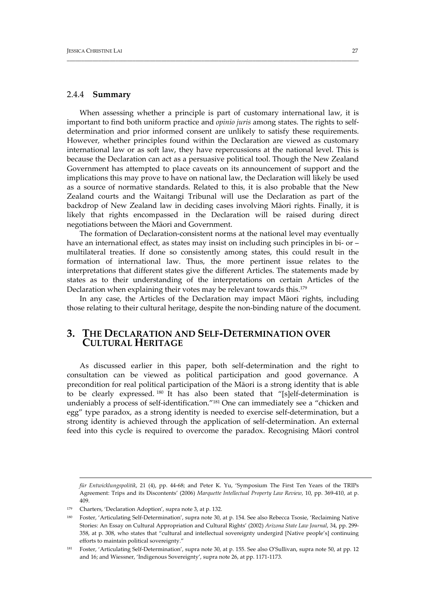#### 2.4.4 **Summary**

When assessing whether a principle is part of customary international law, it is important to find both uniform practice and *opinio juris* among states. The rights to self‐ determination and prior informed consent are unlikely to satisfy these requirements. However, whether principles found within the Declaration are viewed as customary international law or as soft law, they have repercussions at the national level. This is because the Declaration can act as a persuasive political tool. Though the New Zealand Government has attempted to place caveats on its announcement of support and the implications this may prove to have on national law, the Declaration will likely be used as a source of normative standards. Related to this, it is also probable that the New Zealand courts and the Waitangi Tribunal will use the Declaration as part of the backdrop of New Zealand law in deciding cases involving Māori rights. Finally, it is likely that rights encompassed in the Declaration will be raised during direct negotiations between the Māori and Government.

\_\_\_\_\_\_\_\_\_\_\_\_\_\_\_\_\_\_\_\_\_\_\_\_\_\_\_\_\_\_\_\_\_\_\_\_\_\_\_\_\_\_\_\_\_\_\_\_\_\_\_\_\_\_\_\_\_\_\_\_\_\_\_\_\_\_\_\_\_\_\_\_\_\_\_\_\_\_\_\_\_\_\_\_\_\_\_\_\_\_\_\_\_\_\_\_\_\_\_\_\_\_

The formation of Declaration-consistent norms at the national level may eventually have an international effect, as states may insist on including such principles in bi- or – multilateral treaties. If done so consistently among states, this could result in the formation of international law. Thus, the more pertinent issue relates to the interpretations that different states give the different Articles. The statements made by states as to their understanding of the interpretations on certain Articles of the Declaration when explaining their votes may be relevant towards this.179

In any case, the Articles of the Declaration may impact Māori rights, including those relating to their cultural heritage, despite the non‐binding nature of the document.

# **3. THE DECLARATION AND SELF‐DETERMINATION OVER CULTURAL HERITAGE**

As discussed earlier in this paper, both self‐determination and the right to consultation can be viewed as political participation and good governance. A precondition for real political participation of the Māori is a strong identity that is able to be clearly expressed. <sup>180</sup> It has also been stated that "[s]elf-determination is undeniably a process of self-identification."<sup>181</sup> One can immediately see a "chicken and egg" type paradox, as a strong identity is needed to exercise self‐determination, but a strong identity is achieved through the application of self-determination. An external feed into this cycle is required to overcome the paradox. Recognising Māori control

<u> 1989 - Johann Stoff, amerikansk fotballstruktur (d. 1989)</u>

*für Entwicklungspolitik*, 21 (4), pp. 44‐68; and Peter K. Yu, 'Symposium The First Ten Years of the TRIPs Agreement: Trips and its Discontents' (2006) *Marquette Intellectual Property Law Review*, 10, pp. 369‐410, at p. 409.

<sup>179</sup> Charters, 'Declaration Adoption', supra note 3, at p. 132.

<sup>180</sup> Foster, 'Articulating Self‐Determination', supra note 30, at p. 154. See also Rebecca Tsosie, 'Reclaiming Native Stories: An Essay on Cultural Appropriation and Cultural Rights' (2002) *Arizona State Law Journal*, 34, pp. 299‐ 358, at p. 308, who states that "cultural and intellectual sovereignty undergird [Native people's] continuing efforts to maintain political sovereignty."

<sup>181</sup> Foster, 'Articulating Self‐Determination', supra note 30, at p. 155. See also O'Sullivan, supra note 50, at pp. 12 and 16; and Wiessner, 'Indigenous Sovereignty', supra note 26, at pp. 1171‐1173.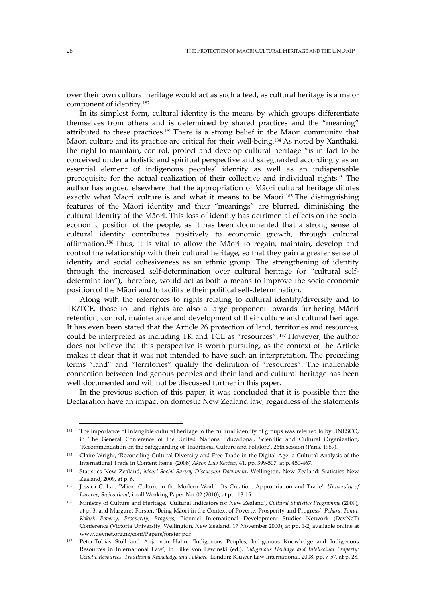over their own cultural heritage would act as such a feed, as cultural heritage is a major component of identity.182

\_\_\_\_\_\_\_\_\_\_\_\_\_\_\_\_\_\_\_\_\_\_\_\_\_\_\_\_\_\_\_\_\_\_\_\_\_\_\_\_\_\_\_\_\_\_\_\_\_\_\_\_\_\_\_\_\_\_\_\_\_\_\_\_\_\_\_\_\_\_\_\_\_\_\_\_\_\_\_\_\_\_\_\_\_\_\_\_\_\_\_\_\_\_\_\_\_\_\_\_\_

In its simplest form, cultural identity is the means by which groups differentiate themselves from others and is determined by shared practices and the "meaning" attributed to these practices.183 There is a strong belief in the Māori community that Māori culture and its practice are critical for their well-being.<sup>184</sup> As noted by Xanthaki, the right to maintain, control, protect and develop cultural heritage "is in fact to be conceived under a holistic and spiritual perspective and safeguarded accordingly as an essential element of indigenous peoples' identity as well as an indispensable prerequisite for the actual realization of their collective and individual rights." The author has argued elsewhere that the appropriation of Māori cultural heritage dilutes exactly what Māori culture is and what it means to be Māori.<sup>185</sup> The distinguishing features of the Māori identity and their "meanings" are blurred, diminishing the cultural identity of the Māori. This loss of identity has detrimental effects on the socioeconomic position of the people, as it has been documented that a strong sense of cultural identity contributes positively to economic growth, through cultural affirmation.186 Thus, it is vital to allow the Māori to regain, maintain, develop and control the relationship with their cultural heritage, so that they gain a greater sense of identity and social cohesiveness as an ethnic group. The strengthening of identity through the increased self‐determination over cultural heritage (or "cultural self‐ determination"), therefore, would act as both a means to improve the socio-economic position of the Māori and to facilitate their political self‐determination.

Along with the references to rights relating to cultural identity/diversity and to TK/TCE, those to land rights are also a large proponent towards furthering Māori retention, control, maintenance and development of their culture and cultural heritage. It has even been stated that the Article 26 protection of land, territories and resources, could be interpreted as including TK and TCE as "resources". <sup>187</sup> However, the author does not believe that this perspective is worth pursuing, as the context of the Article makes it clear that it was not intended to have such an interpretation. The preceding terms "land" and "territories" qualify the definition of "resources". The inalienable connection between Indigenous peoples and their land and cultural heritage has been well documented and will not be discussed further in this paper.

In the previous section of this paper, it was concluded that it is possible that the Declaration have an impact on domestic New Zealand law, regardless of the statements

<sup>&</sup>lt;sup>182</sup> The importance of intangible cultural heritage to the cultural identity of groups was referred to by UNESCO, in The General Conference of the United Nations Educational, Scientific and Cultural Organization, 'Recommendation on the Safeguarding of Traditional Culture and Folklore', 26th session (Paris, 1989).

<sup>183</sup> Claire Wright, 'Reconciling Cultural Diversity and Free Trade in the Digital Age: a Cultural Analysis of the International Trade in Content Items' (2008) *Akron Law Review*, 41, pp. 399‐507, at p. 450‐467.

<sup>184</sup> Statistics New Zealand, *Māori Social Survey Discussion Document*, Wellington, New Zealand: Statistics New Zealand, 2009, at p. 6.

<sup>185</sup> Jessica C. Lai, 'Māori Culture in the Modern World: Its Creation, Appropriation and Trade', *University of Lucerne, Switzerland*, i‐call Working Paper No*.* 02 (2010), at pp. 13‐15.

<sup>186</sup> Ministry of Culture and Heritage, 'Cultural Indicators for New Zealand', *Cultural Statistics Programme* (2009), at p. 3; and Margaret Forster, 'Being Māori in the Context of Poverty, Prosperity and Progress', *Pōhara, Tōnui, Kōkiri: Poverty, Prosperity, Progress*, Bienniel International Development Studies Network (DevNeT) Conference (Victoria University, Wellington, New Zealand, 17 November 2000), at pp. 1‐2, available online at www.devnet.org.nz/conf/Papers/forster.pdf

<sup>187</sup> Peter‐Tobias Stoll and Anja von Hahn, 'Indigenous Peoples, Indigenous Knowledge and Indigenous Resources in International Law', in Silke von Lewinski (ed.), *Indigenous Heritage and Intellectual Property: Genetic Resources, Traditional Knowledge and Folklore*, London: Kluwer Law International, 2008, pp. 7‐57, at p. 28.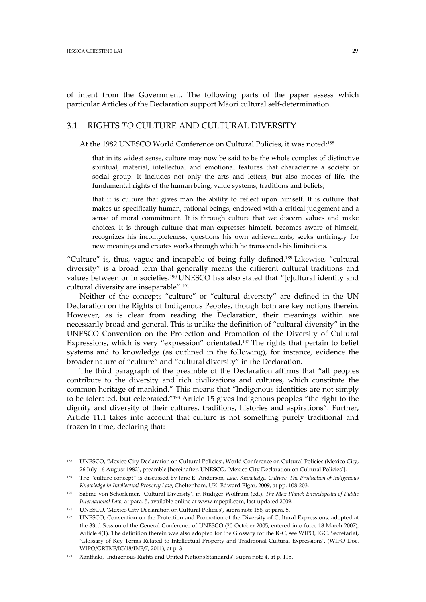of intent from the Government. The following parts of the paper assess which particular Articles of the Declaration support Māori cultural self‐determination.

\_\_\_\_\_\_\_\_\_\_\_\_\_\_\_\_\_\_\_\_\_\_\_\_\_\_\_\_\_\_\_\_\_\_\_\_\_\_\_\_\_\_\_\_\_\_\_\_\_\_\_\_\_\_\_\_\_\_\_\_\_\_\_\_\_\_\_\_\_\_\_\_\_\_\_\_\_\_\_\_\_\_\_\_\_\_\_\_\_\_\_\_\_\_\_\_\_\_\_\_\_\_

# 3.1 RIGHTS *TO* CULTURE AND CULTURAL DIVERSITY

At the 1982 UNESCO World Conference on Cultural Policies, it was noted:<sup>188</sup>

that in its widest sense, culture may now be said to be the whole complex of distinctive spiritual, material, intellectual and emotional features that characterize a society or social group. It includes not only the arts and letters, but also modes of life, the fundamental rights of the human being, value systems, traditions and beliefs;

that it is culture that gives man the ability to reflect upon himself. It is culture that makes us specifically human, rational beings, endowed with a critical judgement and a sense of moral commitment. It is through culture that we discern values and make choices. It is through culture that man expresses himself, becomes aware of himself, recognizes his incompleteness, questions his own achievements, seeks untiringly for new meanings and creates works through which he transcends his limitations.

"Culture" is, thus, vague and incapable of being fully defined.189 Likewise, "cultural diversity" is a broad term that generally means the different cultural traditions and values between or in societies.190 UNESCO has also stated that "[c]ultural identity and cultural diversity are inseparable".191

Neither of the concepts "culture" or "cultural diversity" are defined in the UN Declaration on the Rights of Indigenous Peoples, though both are key notions therein. However, as is clear from reading the Declaration, their meanings within are necessarily broad and general. This is unlike the definition of "cultural diversity" in the UNESCO Convention on the Protection and Promotion of the Diversity of Cultural Expressions, which is very "expression" orientated.192 The rights that pertain to belief systems and to knowledge (as outlined in the following), for instance, evidence the broader nature of "culture" and "cultural diversity" in the Declaration.

The third paragraph of the preamble of the Declaration affirms that "all peoples contribute to the diversity and rich civilizations and cultures, which constitute the common heritage of mankind." This means that "Indigenous identities are not simply to be tolerated, but celebrated."193 Article 15 gives Indigenous peoples "the right to the dignity and diversity of their cultures, traditions, histories and aspirations". Further, Article 11.1 takes into account that culture is not something purely traditional and frozen in time, declaring that:

<sup>188</sup> UNESCO, 'Mexico City Declaration on Cultural Policies', World Conference on Cultural Policies (Mexico City, 26 July ‐ 6 August 1982), preamble [hereinafter, UNESCO, 'Mexico City Declaration on Cultural Policies'].

<sup>189</sup> The "culture concept" is discussed by Jane E. Anderson, *Law, Knowledge, Culture. The Production of Indigenous Knowledge in Intellectual Property Law*, Cheltenham, UK: Edward Elgar, 2009, at pp. 108‐203.

<sup>190</sup> Sabine von Schorlemer, 'Cultural Diversity', in Rüdiger Wolfrum (ed.), *The Max Planck Encyclopedia of Public International Law*, at para. 5, available online at www.mpepil.com, last updated 2009.

<sup>191</sup> UNESCO, 'Mexico City Declaration on Cultural Policies', supra note 188, at para. 5.

<sup>192</sup> UNESCO, Convention on the Protection and Promotion of the Diversity of Cultural Expressions, adopted at the 33rd Session of the General Conference of UNESCO (20 October 2005, entered into force 18 March 2007), Article 4(1). The definition therein was also adopted for the Glossary for the IGC, see WIPO, IGC, Secretariat, 'Glossary of Key Terms Related to Intellectual Property and Traditional Cultural Expressions', (WIPO Doc. WIPO/GRTKF/IC/18/INF/7, 2011), at p. 3.

<sup>193</sup> Xanthaki, 'Indigenous Rights and United Nations Standards', supra note 4, at p. 115.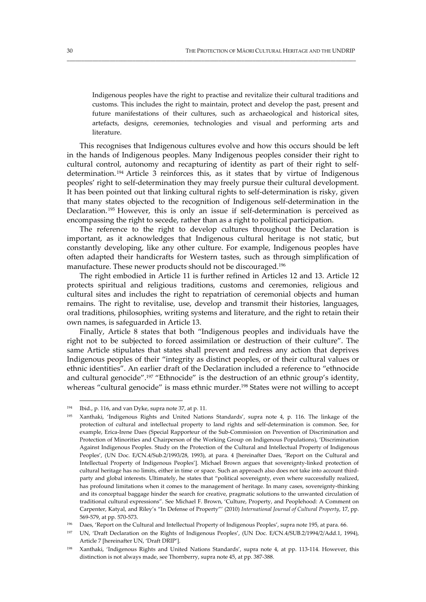Indigenous peoples have the right to practise and revitalize their cultural traditions and customs. This includes the right to maintain, protect and develop the past, present and future manifestations of their cultures, such as archaeological and historical sites, artefacts, designs, ceremonies, technologies and visual and performing arts and literature.

\_\_\_\_\_\_\_\_\_\_\_\_\_\_\_\_\_\_\_\_\_\_\_\_\_\_\_\_\_\_\_\_\_\_\_\_\_\_\_\_\_\_\_\_\_\_\_\_\_\_\_\_\_\_\_\_\_\_\_\_\_\_\_\_\_\_\_\_\_\_\_\_\_\_\_\_\_\_\_\_\_\_\_\_\_\_\_\_\_\_\_\_\_\_\_\_\_\_\_\_\_

This recognises that Indigenous cultures evolve and how this occurs should be left in the hands of Indigenous peoples. Many Indigenous peoples consider their right to cultural control, autonomy and recapturing of identity as part of their right to selfdetermination. <sup>194</sup> Article 3 reinforces this, as it states that by virtue of Indigenous peoples' right to self‐determination they may freely pursue their cultural development. It has been pointed out that linking cultural rights to self‐determination is risky, given that many states objected to the recognition of Indigenous self‐determination in the Declaration.<sup>195</sup> However, this is only an issue if self-determination is perceived as encompassing the right to secede, rather than as a right to political participation.

The reference to the right to develop cultures throughout the Declaration is important, as it acknowledges that Indigenous cultural heritage is not static, but constantly developing, like any other culture. For example, Indigenous peoples have often adapted their handicrafts for Western tastes, such as through simplification of manufacture. These newer products should not be discouraged.196

The right embodied in Article 11 is further refined in Articles 12 and 13. Article 12 protects spiritual and religious traditions, customs and ceremonies, religious and cultural sites and includes the right to repatriation of ceremonial objects and human remains. The right to revitalise, use, develop and transmit their histories, languages, oral traditions, philosophies, writing systems and literature, and the right to retain their own names, is safeguarded in Article 13.

Finally, Article 8 states that both "Indigenous peoples and individuals have the right not to be subjected to forced assimilation or destruction of their culture". The same Article stipulates that states shall prevent and redress any action that deprives Indigenous peoples of their "integrity as distinct peoples, or of their cultural values or ethnic identities". An earlier draft of the Declaration included a reference to "ethnocide and cultural genocide".<sup>197</sup> "Ethnocide" is the destruction of an ethnic group's identity, whereas "cultural genocide" is mass ethnic murder.198 States were not willing to accept

<sup>194</sup> Ibid., p. 116, and van Dyke, supra note 37, at p. 11.

<sup>195</sup> Xanthaki, 'Indigenous Rights and United Nations Standards', supra note 4, p. 116. The linkage of the protection of cultural and intellectual property to land rights and self‐determination is common. See, for example, Erica‐Irene Daes (Special Rapporteur of the Sub‐Commission on Prevention of Discrimination and Protection of Minorities and Chairperson of the Working Group on Indigenous Populations), 'Discrimination Against Indigenous Peoples. Study on the Protection of the Cultural and Intellectual Property of Indigenous Peoples', (UN Doc. E/CN.4/Sub.2/1993/28, 1993), at para. 4 [hereinafter Daes, 'Report on the Cultural and Intellectual Property of Indigenous Peoples']. Michael Brown argues that sovereignty‐linked protection of cultural heritage has no limits, either in time or space. Such an approach also does not take into account third‐ party and global interests. Ultimately, he states that "political sovereignty, even where successfully realized, has profound limitations when it comes to the management of heritage. In many cases, sovereignty‐thinking and its conceptual baggage hinder the search for creative, pragmatic solutions to the unwanted circulation of traditional cultural expressions". See Michael F. Brown, 'Culture, Property, and Peoplehood: A Comment on Carpenter, Katyal, and Riley's "In Defense of Property"' (2010) *International Journal of Cultural Property*, 17, pp. 569‐579, at pp. 570‐573.

<sup>196</sup> Daes, 'Report on the Cultural and Intellectual Property of Indigenous Peoples', supra note 195, at para. 66.

<sup>197</sup> UN, 'Draft Declaration on the Rights of Indigenous Peoples', (UN Doc. E/CN.4/SUB.2/1994/2/Add.1, 1994), Article 7 [hereinafter UN, 'Draft DRIP'].

<sup>198</sup> Xanthaki, 'Indigenous Rights and United Nations Standards', supra note 4, at pp. 113-114. However, this distinction is not always made, see Thornberry, supra note 45, at pp. 387‐388.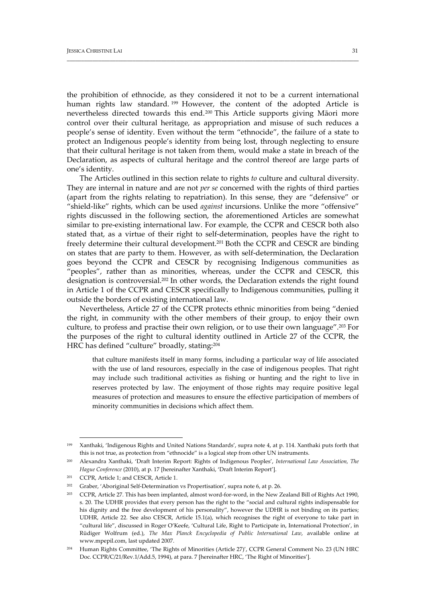the prohibition of ethnocide, as they considered it not to be a current international human rights law standard.<sup>199</sup> However, the content of the adopted Article is nevertheless directed towards this end.200 This Article supports giving Māori more control over their cultural heritage, as appropriation and misuse of such reduces a people's sense of identity. Even without the term "ethnocide", the failure of a state to protect an Indigenous people's identity from being lost, through neglecting to ensure that their cultural heritage is not taken from them, would make a state in breach of the Declaration, as aspects of cultural heritage and the control thereof are large parts of one's identity.

\_\_\_\_\_\_\_\_\_\_\_\_\_\_\_\_\_\_\_\_\_\_\_\_\_\_\_\_\_\_\_\_\_\_\_\_\_\_\_\_\_\_\_\_\_\_\_\_\_\_\_\_\_\_\_\_\_\_\_\_\_\_\_\_\_\_\_\_\_\_\_\_\_\_\_\_\_\_\_\_\_\_\_\_\_\_\_\_\_\_\_\_\_\_\_\_\_\_\_\_\_\_

The Articles outlined in this section relate to rights *to* culture and cultural diversity. They are internal in nature and are not *per se* concerned with the rights of third parties (apart from the rights relating to repatriation). In this sense, they are "defensive" or "shield‐like" rights, which can be used *against* incursions. Unlike the more "offensive" rights discussed in the following section, the aforementioned Articles are somewhat similar to pre‐existing international law. For example, the CCPR and CESCR both also stated that, as a virtue of their right to self‐determination, peoples have the right to freely determine their cultural development.201 Both the CCPR and CESCR are binding on states that are party to them. However, as with self‐determination, the Declaration goes beyond the CCPR and CESCR by recognising Indigenous communities as "peoples", rather than as minorities, whereas, under the CCPR and CESCR, this designation is controversial.202 In other words, the Declaration extends the right found in Article 1 of the CCPR and CESCR specifically to Indigenous communities, pulling it outside the borders of existing international law.

Nevertheless, Article 27 of the CCPR protects ethnic minorities from being "denied the right, in community with the other members of their group, to enjoy their own culture, to profess and practise their own religion, or to use their own language".203 For the purposes of the right to cultural identity outlined in Article 27 of the CCPR, the HRC has defined "culture" broadly, stating:<sup>204</sup>

that culture manifests itself in many forms, including a particular way of life associated with the use of land resources, especially in the case of indigenous peoples. That right may include such traditional activities as fishing or hunting and the right to live in reserves protected by law. The enjoyment of those rights may require positive legal measures of protection and measures to ensure the effective participation of members of minority communities in decisions which affect them.

<sup>199</sup> Xanthaki, 'Indigenous Rights and United Nations Standards', supra note 4, at p. 114. Xanthaki puts forth that this is not true, as protection from "ethnocide" is a logical step from other UN instruments.

<sup>200</sup> Alexandra Xanthaki, 'Draft Interim Report: Rights of Indigenous Peoples', *International Law Association, The Hague Conference* (2010), at p. 17 [hereinafter Xanthaki, 'Draft Interim Report'].

<sup>201</sup> CCPR, Article 1; and CESCR, Article 1.

<sup>202</sup> Graber, 'Aboriginal Self‐Determination vs Propertisation', supra note 6, at p. 26.

<sup>&</sup>lt;sup>203</sup> CCPR, Article 27. This has been implanted, almost word-for-word, in the New Zealand Bill of Rights Act 1990, s. 20. The UDHR provides that every person has the right to the "social and cultural rights indispensable for his dignity and the free development of his personality", however the UDHR is not binding on its parties; UDHR, Article 22. See also CESCR, Article 15.1(a), which recognises the right of everyone to take part in "cultural life", discussed in Roger O'Keefe, 'Cultural Life, Right to Participate in, International Protection', in Rüdiger Wolfrum (ed.), *The Max Planck Encyclopedia of Public International Law*, available online at www.mpepil.com, last updated 2007.

<sup>204</sup> Human Rights Committee, 'The Rights of Minorities (Article 27)', CCPR General Comment No. 23 (UN HRC Doc. CCPR/C/21/Rev.1/Add.5, 1994), at para. 7 [hereinafter HRC, 'The Right of Minorities'].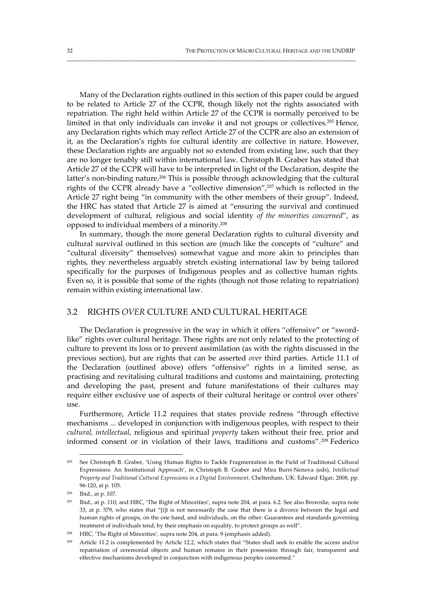Many of the Declaration rights outlined in this section of this paper could be argued to be related to Article 27 of the CCPR, though likely not the rights associated with repatriation. The right held within Article 27 of the CCPR is normally perceived to be limited in that only individuals can invoke it and not groups or collectives.205 Hence, any Declaration rights which may reflect Article 27 of the CCPR are also an extension of it, as the Declaration's rights for cultural identity are collective in nature. However, these Declaration rights are arguably not so extended from existing law, such that they are no longer tenably still within international law. Christoph B. Graber has stated that Article 27 of the CCPR will have to be interpreted in light of the Declaration, despite the latter's non-binding nature.<sup>206</sup> This is possible through acknowledging that the cultural rights of the CCPR already have a "collective dimension",207 which is reflected in the Article 27 right being "in community with the other members of their group". Indeed, the HRC has stated that Article 27 is aimed at "ensuring the survival and continued development of cultural, religious and social identity *of the minorities concerned*", as opposed to individual members of a minority.208

\_\_\_\_\_\_\_\_\_\_\_\_\_\_\_\_\_\_\_\_\_\_\_\_\_\_\_\_\_\_\_\_\_\_\_\_\_\_\_\_\_\_\_\_\_\_\_\_\_\_\_\_\_\_\_\_\_\_\_\_\_\_\_\_\_\_\_\_\_\_\_\_\_\_\_\_\_\_\_\_\_\_\_\_\_\_\_\_\_\_\_\_\_\_\_\_\_\_\_\_\_

In summary, though the more general Declaration rights to cultural diversity and cultural survival outlined in this section are (much like the concepts of "culture" and "cultural diversity" themselves) somewhat vague and more akin to principles than rights, they nevertheless arguably stretch existing international law by being tailored specifically for the purposes of Indigenous peoples and as collective human rights. Even so, it is possible that some of the rights (though not those relating to repatriation) remain within existing international law.

## 3.2 RIGHTS *OVER* CULTURE AND CULTURAL HERITAGE

The Declaration is progressive in the way in which it offers "offensive" or "swordlike" rights over cultural heritage. These rights are not only related to the protecting of culture to prevent its loss or to prevent assimilation (as with the rights discussed in the previous section), but are rights that can be asserted *over* third parties. Article 11.1 of the Declaration (outlined above) offers "offensive" rights in a limited sense, as practising and revitalising cultural traditions and customs and maintaining, protecting and developing the past, present and future manifestations of their cultures may require either exclusive use of aspects of their cultural heritage or control over others' use.

Furthermore, Article 11.2 requires that states provide redress "through effective mechanisms ... developed in conjunction with indigenous peoples, with respect to their *cultural, intellectual*, religious and spiritual *property* taken without their free, prior and informed consent or in violation of their laws, traditions and customs".209 Federico

<sup>205</sup> See Christoph B. Graber, 'Using Human Rights to Tackle Fragmentation in the Field of Traditional Cultural Expressions: An Institutional Approach', in Christoph B. Graber and Mira Burri‐Nenova (eds), *Intellectual Property and Traditional Cultural Expressions in a Digital Environment*, Cheltenham, UK: Edward Elgar, 2008, pp. 96‐120, at p. 105.

<sup>206</sup> Ibid., at p. 107.

Ibid., at p. 110; and HRC, 'The Right of Minorities', supra note 204, at para. 6.2. See also Brownlie, supra note 33, at p. 579, who states that "[i]t is not necessarily the case that there is a divorce between the legal and human rights of groups, on the one hand, and individuals, on the other. Guarantees and standards governing treatment of individuals tend, by their emphasis on equality, to protect groups as well".

<sup>208</sup> HRC, 'The Right of Minorities', supra note 204, at para. 9 (emphasis added).

Article 11.2 is complemented by Article 12.2, which states that "States shall seek to enable the access and/or repatriation of ceremonial objects and human remains in their possession through fair, transparent and effective mechanisms developed in conjunction with indigenous peoples concerned."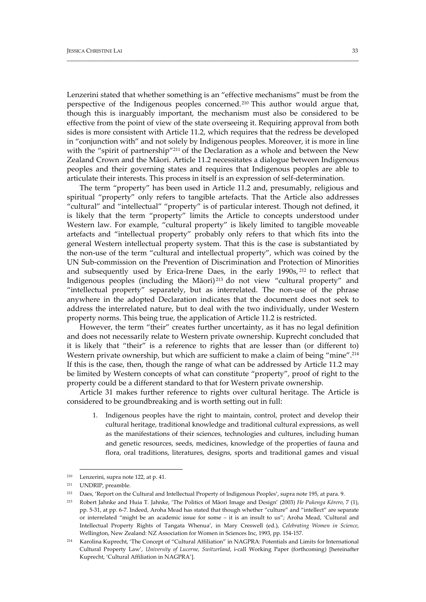Lenzerini stated that whether something is an "effective mechanisms" must be from the perspective of the Indigenous peoples concerned.210 This author would argue that, though this is inarguably important, the mechanism must also be considered to be effective from the point of view of the state overseeing it. Requiring approval from both sides is more consistent with Article 11.2, which requires that the redress be developed in "conjunction with" and not solely by Indigenous peoples. Moreover, it is more in line with the "spirit of partnership"<sup>211</sup> of the Declaration as a whole and between the New Zealand Crown and the Māori. Article 11.2 necessitates a dialogue between Indigenous peoples and their governing states and requires that Indigenous peoples are able to articulate their interests. This process in itself is an expression of self‐determination.

\_\_\_\_\_\_\_\_\_\_\_\_\_\_\_\_\_\_\_\_\_\_\_\_\_\_\_\_\_\_\_\_\_\_\_\_\_\_\_\_\_\_\_\_\_\_\_\_\_\_\_\_\_\_\_\_\_\_\_\_\_\_\_\_\_\_\_\_\_\_\_\_\_\_\_\_\_\_\_\_\_\_\_\_\_\_\_\_\_\_\_\_\_\_\_\_\_\_\_\_\_\_

The term "property" has been used in Article 11.2 and, presumably, religious and spiritual "property" only refers to tangible artefacts. That the Article also addresses "cultural" and "intellectual" "property" is of particular interest. Though not defined, it is likely that the term "property" limits the Article to concepts understood under Western law. For example, "cultural property" is likely limited to tangible moveable artefacts and "intellectual property" probably only refers to that which fits into the general Western intellectual property system. That this is the case is substantiated by the non‐use of the term "cultural and intellectual property", which was coined by the UN Sub‐commission on the Prevention of Discrimination and Protection of Minorities and subsequently used by Erica-Irene Daes, in the early  $1990s$ ,  $^{212}$  to reflect that Indigenous peoples (including the Māori) <sup>213</sup> do not view "cultural property" and "intellectual property" separately, but as interrelated. The non‐use of the phrase anywhere in the adopted Declaration indicates that the document does not seek to address the interrelated nature, but to deal with the two individually, under Western property norms. This being true, the application of Article 11.2 is restricted.

However, the term "their" creates further uncertainty, as it has no legal definition and does not necessarily relate to Western private ownership. Kuprecht concluded that it is likely that "their" is a reference to rights that are lesser than (or different to) Western private ownership, but which are sufficient to make a claim of being "mine".<sup>214</sup> If this is the case, then, though the range of what can be addressed by Article 11.2 may be limited by Western concepts of what can constitute "property", proof of right to the property could be a different standard to that for Western private ownership.

Article 31 makes further reference to rights over cultural heritage. The Article is considered to be groundbreaking and is worth setting out in full:

1. Indigenous peoples have the right to maintain, control, protect and develop their cultural heritage, traditional knowledge and traditional cultural expressions, as well as the manifestations of their sciences, technologies and cultures, including human and genetic resources, seeds, medicines, knowledge of the properties of fauna and flora, oral traditions, literatures, designs, sports and traditional games and visual

<sup>210</sup> Lenzerini, supra note 122, at p. 41.

<sup>211</sup> UNDRIP, preamble.

<sup>212</sup> Daes, 'Report on the Cultural and Intellectual Property of Indigenous Peoples', supra note 195, at para. 9.

<sup>213</sup> Robert Jahnke and Huia T. Jahnke, 'The Politics of Māori Image and Design' (2003) *He Pukenga Kōrero*, 7 (1), pp. 5‐31, at pp. 6‐7. Indeed, Aroha Mead has stated that though whether "culture" and "intellect" are separate or interrelated "might be an academic issue for some – it is an insult to us"; Aroha Mead, 'Cultural and Intellectual Property Rights of Tangata Whenua', in Mary Creswell (ed.), *Celebrating Women in Science*, Wellington, New Zealand: NZ Association for Women in Sciences Inc, 1993, pp. 154‐157.

<sup>214</sup> Karolina Kuprecht, 'The Concept of "Cultural Affiliation" in NAGPRA: Potentials and Limits for International Cultural Property Law', *University of Lucerne, Switzerland*, i‐call Working Paper (forthcoming) [hereinafter Kuprecht, 'Cultural Affiliation in NAGPRA'].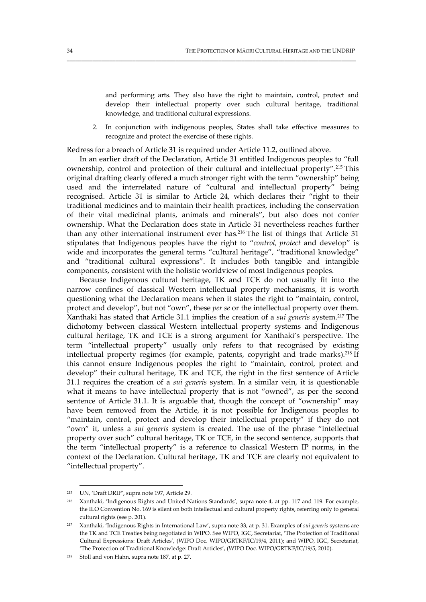and performing arts. They also have the right to maintain, control, protect and develop their intellectual property over such cultural heritage, traditional knowledge, and traditional cultural expressions.

2. In conjunction with indigenous peoples, States shall take effective measures to recognize and protect the exercise of these rights.

Redress for a breach of Article 31 is required under Article 11.2, outlined above.

\_\_\_\_\_\_\_\_\_\_\_\_\_\_\_\_\_\_\_\_\_\_\_\_\_\_\_\_\_\_\_\_\_\_\_\_\_\_\_\_\_\_\_\_\_\_\_\_\_\_\_\_\_\_\_\_\_\_\_\_\_\_\_\_\_\_\_\_\_\_\_\_\_\_\_\_\_\_\_\_\_\_\_\_\_\_\_\_\_\_\_\_\_\_\_\_\_\_\_\_\_

In an earlier draft of the Declaration, Article 31 entitled Indigenous peoples to "full ownership, control and protection of their cultural and intellectual property".215 This original drafting clearly offered a much stronger right with the term "ownership" being used and the interrelated nature of "cultural and intellectual property" being recognised. Article 31 is similar to Article 24, which declares their "right to their traditional medicines and to maintain their health practices, including the conservation of their vital medicinal plants, animals and minerals", but also does not confer ownership. What the Declaration does state in Article 31 nevertheless reaches further than any other international instrument ever has.216 The list of things that Article 31 stipulates that Indigenous peoples have the right to "*control, protect* and develop" is wide and incorporates the general terms "cultural heritage", "traditional knowledge" and "traditional cultural expressions". It includes both tangible and intangible components, consistent with the holistic worldview of most Indigenous peoples.

Because Indigenous cultural heritage, TK and TCE do not usually fit into the narrow confines of classical Western intellectual property mechanisms, it is worth questioning what the Declaration means when it states the right to "maintain, control, protect and develop", but not "own", these *per se* or the intellectual property over them. Xanthaki has stated that Article 31.1 implies the creation of a *sui generis* system.217 The dichotomy between classical Western intellectual property systems and Indigenous cultural heritage, TK and TCE is a strong argument for Xanthaki's perspective. The term "intellectual property" usually only refers to that recognised by existing intellectual property regimes (for example, patents, copyright and trade marks).<sup>218</sup> If this cannot ensure Indigenous peoples the right to "maintain, control, protect and develop" their cultural heritage, TK and TCE, the right in the first sentence of Article 31.1 requires the creation of a *sui generis* system. In a similar vein, it is questionable what it means to have intellectual property that is not "owned", as per the second sentence of Article 31.1. It is arguable that, though the concept of "ownership" may have been removed from the Article, it is not possible for Indigenous peoples to "maintain, control, protect and develop their intellectual property" if they do not "own" it, unless a *sui generis* system is created. The use of the phrase "intellectual property over such" cultural heritage, TK or TCE, in the second sentence, supports that the term "intellectual property" is a reference to classical Western IP norms, in the context of the Declaration. Cultural heritage, TK and TCE are clearly not equivalent to "intellectual property".

 <sup>215</sup> UN, 'Draft DRIP', supra note 197, Article 29.

<sup>216</sup> Xanthaki, 'Indigenous Rights and United Nations Standards', supra note 4, at pp. 117 and 119. For example, the ILO Convention No. 169 is silent on both intellectual and cultural property rights, referring only to general cultural rights (see p. 201).

<sup>217</sup> Xanthaki, 'Indigenous Rights in International Law', supra note 33, at p. 31. Examples of *sui generis* systems are the TK and TCE Treaties being negotiated in WIPO. See WIPO, IGC, Secretariat, 'The Protection of Traditional Cultural Expressions: Draft Articles', (WIPO Doc. WIPO/GRTKF/IC/19/4, 2011); and WIPO, IGC, Secretariat, 'The Protection of Traditional Knowledge: Draft Articles', (WIPO Doc. WIPO/GRTKF/IC/19/5, 2010).

<sup>218</sup> Stoll and von Hahn, supra note 187, at p. 27.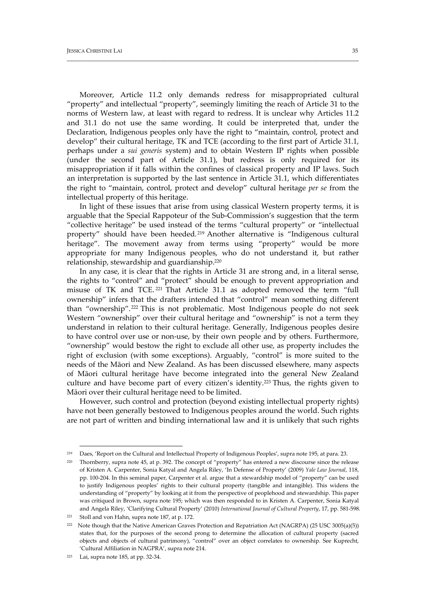Moreover, Article 11.2 only demands redress for misappropriated cultural "property" and intellectual "property", seemingly limiting the reach of Article 31 to the norms of Western law, at least with regard to redress. It is unclear why Articles 11.2 and 31.1 do not use the same wording. It could be interpreted that, under the Declaration, Indigenous peoples only have the right to "maintain, control, protect and develop" their cultural heritage, TK and TCE (according to the first part of Article 31.1, perhaps under a *sui generis* system) and to obtain Western IP rights when possible (under the second part of Article 31.1), but redress is only required for its misappropriation if it falls within the confines of classical property and IP laws. Such an interpretation is supported by the last sentence in Article 31.1, which differentiates the right to "maintain, control, protect and develop" cultural heritage *per se* from the intellectual property of this heritage.

\_\_\_\_\_\_\_\_\_\_\_\_\_\_\_\_\_\_\_\_\_\_\_\_\_\_\_\_\_\_\_\_\_\_\_\_\_\_\_\_\_\_\_\_\_\_\_\_\_\_\_\_\_\_\_\_\_\_\_\_\_\_\_\_\_\_\_\_\_\_\_\_\_\_\_\_\_\_\_\_\_\_\_\_\_\_\_\_\_\_\_\_\_\_\_\_\_\_\_\_\_\_

In light of these issues that arise from using classical Western property terms, it is arguable that the Special Rappoteur of the Sub‐Commission's suggestion that the term "collective heritage" be used instead of the terms "cultural property" or "intellectual property" should have been heeded. <sup>219</sup> Another alternative is "Indigenous cultural heritage". The movement away from terms using "property" would be more appropriate for many Indigenous peoples, who do not understand it, but rather relationship, stewardship and guardianship.220

In any case, it is clear that the rights in Article 31 are strong and, in a literal sense, the rights to "control" and "protect" should be enough to prevent appropriation and misuse of TK and TCE. <sup>221</sup> That Article 31.1 as adopted removed the term "full ownership" infers that the drafters intended that "control" mean something different than "ownership".222 This is not problematic. Most Indigenous people do not seek Western "ownership" over their cultural heritage and "ownership" is not a term they understand in relation to their cultural heritage. Generally, Indigenous peoples desire to have control over use or non‐use, by their own people and by others. Furthermore, "ownership" would bestow the right to exclude all other use, as property includes the right of exclusion (with some exceptions). Arguably, "control" is more suited to the needs of the Māori and New Zealand. As has been discussed elsewhere, many aspects of Māori cultural heritage have become integrated into the general New Zealand culture and have become part of every citizen's identity.<sup>223</sup> Thus, the rights given to Māori over their cultural heritage need to be limited.

However, such control and protection (beyond existing intellectual property rights) have not been generally bestowed to Indigenous peoples around the world. Such rights are not part of written and binding international law and it is unlikely that such rights

<sup>219</sup> Daes, 'Report on the Cultural and Intellectual Property of Indigenous Peoples', supra note 195, at para. 23.

<sup>220</sup> Thornberry, supra note 45, at p. 392. The concept of "property" has entered a new discourse since the release of Kristen A. Carpenter, Sonia Katyal and Angela Riley, 'In Defense of Property' (2009) *Yale Law Journal*, 118, pp. 100‐204. In this seminal paper, Carpenter et al. argue that a stewardship model of "property" can be used to justify Indigenous peoples' rights to their cultural property (tangible and intangible). This widens the understanding of "property" by looking at it from the perspective of peoplehood and stewardship. This paper was critiqued in Brown, supra note 195; which was then responded to in Kristen A. Carpenter, Sonia Katyal and Angela Riley, 'Clarifying Cultural Property' (2010) *International Journal of Cultural Property*, 17, pp. 581‐598.

<sup>221</sup> Stoll and von Hahn, supra note 187, at p. 172.

<sup>&</sup>lt;sup>222</sup> Note though that the Native American Graves Protection and Repatriation Act (NAGRPA) (25 USC 3005(a)(5)) states that, for the purposes of the second prong to determine the allocation of cultural property (sacred objects and objects of cultural patrimony), "control" over an object correlates to ownership. See Kuprecht, 'Cultural Affiliation in NAGPRA', supra note 214.

<sup>223</sup> Lai, supra note 185, at pp. 32‐34.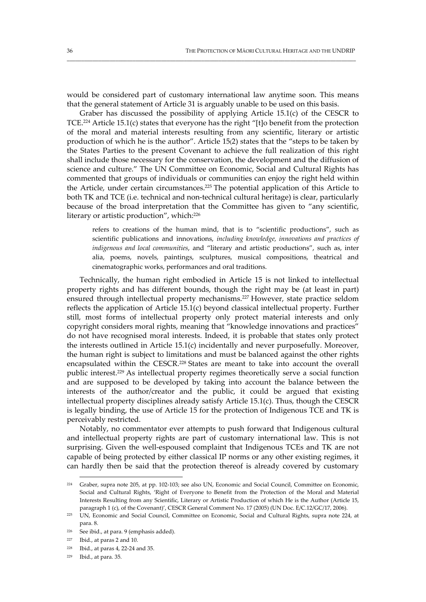would be considered part of customary international law anytime soon. This means that the general statement of Article 31 is arguably unable to be used on this basis.

\_\_\_\_\_\_\_\_\_\_\_\_\_\_\_\_\_\_\_\_\_\_\_\_\_\_\_\_\_\_\_\_\_\_\_\_\_\_\_\_\_\_\_\_\_\_\_\_\_\_\_\_\_\_\_\_\_\_\_\_\_\_\_\_\_\_\_\_\_\_\_\_\_\_\_\_\_\_\_\_\_\_\_\_\_\_\_\_\_\_\_\_\_\_\_\_\_\_\_\_\_

Graber has discussed the possibility of applying Article 15.1(c) of the CESCR to TCE.224 Article 15.1(c) states that everyone has the right "[t]o benefit from the protection of the moral and material interests resulting from any scientific, literary or artistic production of which he is the author". Article 15(2) states that the "steps to be taken by the States Parties to the present Covenant to achieve the full realization of this right shall include those necessary for the conservation, the development and the diffusion of science and culture." The UN Committee on Economic, Social and Cultural Rights has commented that groups of individuals or communities can enjoy the right held within the Article, under certain circumstances.225 The potential application of this Article to both TK and TCE (i.e. technical and non-technical cultural heritage) is clear, particularly because of the broad interpretation that the Committee has given to "any scientific, literary or artistic production", which:226

refers to creations of the human mind, that is to "scientific productions", such as scientific publications and innovations, *including knowledge, innovations and practices of indigenous and local communities*, and "literary and artistic productions", such as, inter alia, poems, novels, paintings, sculptures, musical compositions, theatrical and cinematographic works, performances and oral traditions.

Technically, the human right embodied in Article 15 is not linked to intellectual property rights and has different bounds, though the right may be (at least in part) ensured through intellectual property mechanisms.227 However, state practice seldom reflects the application of Article 15.1(c) beyond classical intellectual property. Further still, most forms of intellectual property only protect material interests and only copyright considers moral rights, meaning that "knowledge innovations and practices" do not have recognised moral interests. Indeed, it is probable that states only protect the interests outlined in Article 15.1(c) incidentally and never purposefully. Moreover, the human right is subject to limitations and must be balanced against the other rights encapsulated within the CESCR.228 States are meant to take into account the overall public interest.229 As intellectual property regimes theoretically serve a social function and are supposed to be developed by taking into account the balance between the interests of the author/creator and the public, it could be argued that existing intellectual property disciplines already satisfy Article 15.1(c). Thus, though the CESCR is legally binding, the use of Article 15 for the protection of Indigenous TCE and TK is perceivably restricted.

Notably, no commentator ever attempts to push forward that Indigenous cultural and intellectual property rights are part of customary international law. This is not surprising. Given the well‐espoused complaint that Indigenous TCEs and TK are not capable of being protected by either classical IP norms or any other existing regimes, it can hardly then be said that the protection thereof is already covered by customary

<sup>224</sup> Graber, supra note 205, at pp. 102‐103; see also UN, Economic and Social Council, Committee on Economic, Social and Cultural Rights, 'Right of Everyone to Benefit from the Protection of the Moral and Material Interests Resulting from any Scientific, Literary or Artistic Production of which He is the Author (Article 15, paragraph 1 (c), of the Covenant)', CESCR General Comment No. 17 (2005) (UN Doc. E/C.12/GC/17, 2006).

<sup>225</sup> UN, Economic and Social Council, Committee on Economic, Social and Cultural Rights, supra note 224, at para. 8.

<sup>226</sup> See ibid., at para. 9 (emphasis added).

 $227$  Ibid., at paras 2 and 10.

<sup>228</sup> Ibid., at paras 4, 22‐24 and 35.

<sup>229</sup> Ibid., at para. 35.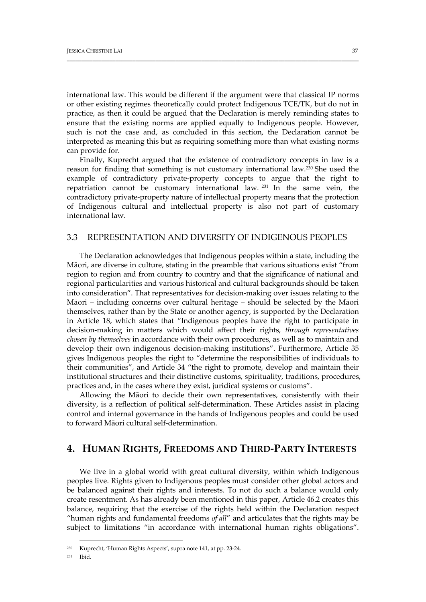international law. This would be different if the argument were that classical IP norms or other existing regimes theoretically could protect Indigenous TCE/TK, but do not in practice, as then it could be argued that the Declaration is merely reminding states to ensure that the existing norms are applied equally to Indigenous people. However, such is not the case and, as concluded in this section, the Declaration cannot be interpreted as meaning this but as requiring something more than what existing norms can provide for.

\_\_\_\_\_\_\_\_\_\_\_\_\_\_\_\_\_\_\_\_\_\_\_\_\_\_\_\_\_\_\_\_\_\_\_\_\_\_\_\_\_\_\_\_\_\_\_\_\_\_\_\_\_\_\_\_\_\_\_\_\_\_\_\_\_\_\_\_\_\_\_\_\_\_\_\_\_\_\_\_\_\_\_\_\_\_\_\_\_\_\_\_\_\_\_\_\_\_\_\_\_\_

Finally, Kuprecht argued that the existence of contradictory concepts in law is a reason for finding that something is not customary international law.230 She used the example of contradictory private‐property concepts to argue that the right to repatriation cannot be customary international law. <sup>231</sup> In the same vein, the contradictory private‐property nature of intellectual property means that the protection of Indigenous cultural and intellectual property is also not part of customary international law.

#### 3.3 REPRESENTATION AND DIVERSITY OF INDIGENOUS PEOPLES

The Declaration acknowledges that Indigenous peoples within a state, including the Māori, are diverse in culture, stating in the preamble that various situations exist "from region to region and from country to country and that the significance of national and regional particularities and various historical and cultural backgrounds should be taken into consideration". That representatives for decision‐making over issues relating to the Māori – including concerns over cultural heritage – should be selected by the Māori themselves, rather than by the State or another agency, is supported by the Declaration in Article 18, which states that "Indigenous peoples have the right to participate in decision‐making in matters which would affect their rights, *through representatives chosen by themselves* in accordance with their own procedures, as well as to maintain and develop their own indigenous decision‐making institutions". Furthermore, Article 35 gives Indigenous peoples the right to "determine the responsibilities of individuals to their communities", and Article 34 "the right to promote, develop and maintain their institutional structures and their distinctive customs, spirituality, traditions, procedures, practices and, in the cases where they exist, juridical systems or customs".

Allowing the Māori to decide their own representatives, consistently with their diversity, is a reflection of political self‐determination. These Articles assist in placing control and internal governance in the hands of Indigenous peoples and could be used to forward Māori cultural self‐determination.

# **4. HUMAN RIGHTS, FREEDOMS AND THIRD‐PARTY INTERESTS**

We live in a global world with great cultural diversity, within which Indigenous peoples live. Rights given to Indigenous peoples must consider other global actors and be balanced against their rights and interests. To not do such a balance would only create resentment. As has already been mentioned in this paper, Article 46.2 creates this balance, requiring that the exercise of the rights held within the Declaration respect "human rights and fundamental freedoms *of all*" and articulates that the rights may be subject to limitations "in accordance with international human rights obligations".

<sup>230</sup> Kuprecht, 'Human Rights Aspects', supra note 141, at pp. 23‐24.

<sup>231</sup> Ibid.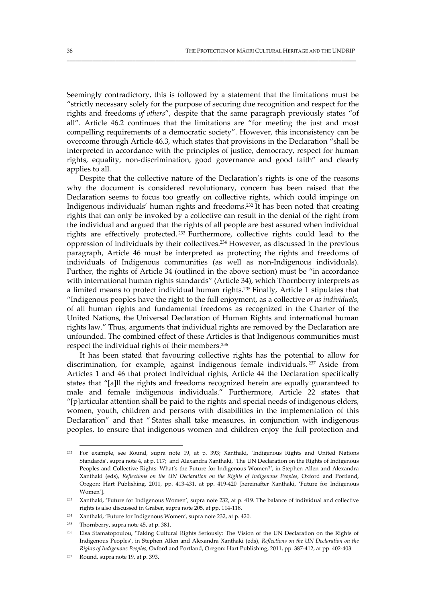Seemingly contradictory, this is followed by a statement that the limitations must be "strictly necessary solely for the purpose of securing due recognition and respect for the rights and freedoms *of others*", despite that the same paragraph previously states "of all". Article 46.2 continues that the limitations are "for meeting the just and most compelling requirements of a democratic society". However, this inconsistency can be overcome through Article 46.3, which states that provisions in the Declaration "shall be interpreted in accordance with the principles of justice, democracy, respect for human rights, equality, non‐discrimination, good governance and good faith" and clearly applies to all.

\_\_\_\_\_\_\_\_\_\_\_\_\_\_\_\_\_\_\_\_\_\_\_\_\_\_\_\_\_\_\_\_\_\_\_\_\_\_\_\_\_\_\_\_\_\_\_\_\_\_\_\_\_\_\_\_\_\_\_\_\_\_\_\_\_\_\_\_\_\_\_\_\_\_\_\_\_\_\_\_\_\_\_\_\_\_\_\_\_\_\_\_\_\_\_\_\_\_\_\_\_

Despite that the collective nature of the Declaration's rights is one of the reasons why the document is considered revolutionary, concern has been raised that the Declaration seems to focus too greatly on collective rights, which could impinge on Indigenous individuals' human rights and freedoms.232 It has been noted that creating rights that can only be invoked by a collective can result in the denial of the right from the individual and argued that the rights of all people are best assured when individual rights are effectively protected. <sup>233</sup> Furthermore, collective rights could lead to the oppression of individuals by their collectives.234 However, as discussed in the previous paragraph, Article 46 must be interpreted as protecting the rights and freedoms of individuals of Indigenous communities (as well as non-Indigenous individuals). Further, the rights of Article 34 (outlined in the above section) must be "in accordance with international human rights standards" (Article 34), which Thornberry interprets as a limited means to protect individual human rights.235 Finally, Article 1 stipulates that "Indigenous peoples have the right to the full enjoyment, as a collective *or as individuals*, of all human rights and fundamental freedoms as recognized in the Charter of the United Nations, the Universal Declaration of Human Rights and international human rights law." Thus, arguments that individual rights are removed by the Declaration are unfounded. The combined effect of these Articles is that Indigenous communities must respect the individual rights of their members.236

It has been stated that favouring collective rights has the potential to allow for discrimination, for example, against Indigenous female individuals. <sup>237</sup> Aside from Articles 1 and 46 that protect individual rights, Article 44 the Declaration specifically states that "[a]ll the rights and freedoms recognized herein are equally guaranteed to male and female indigenous individuals." Furthermore, Article 22 states that "[p]articular attention shall be paid to the rights and special needs of indigenous elders, women, youth, children and persons with disabilities in the implementation of this Declaration" and that " States shall take measures, in conjunction with indigenous peoples, to ensure that indigenous women and children enjoy the full protection and

<sup>232</sup> For example, see Round, supra note 19, at p. 393; Xanthaki, 'Indigenous Rights and United Nations Standards', supra note 4, at p. 117; and Alexandra Xanthaki, 'The UN Declaration on the Rights of Indigenous Peoples and Collective Rights: What's the Future for Indigenous Women?', in Stephen Allen and Alexandra Xanthaki (eds), *Reflections on the UN Declaration on the Rights of Indigenous Peoples*, Oxford and Portland, Oregon: Hart Publishing, 2011, pp. 413‐431, at pp. 419‐420 [hereinafter Xanthaki, 'Future for Indigenous Women'].

<sup>233</sup> Xanthaki, 'Future for Indigenous Women', supra note 232, at p. 419. The balance of individual and collective rights is also discussed in Graber, supra note 205, at pp. 114‐118.

<sup>234</sup> Xanthaki, 'Future for Indigenous Women', supra note 232, at p. 420.

<sup>235</sup> Thornberry, supra note 45, at p. 381.

<sup>236</sup> Elsa Stamatopoulou, 'Taking Cultural Rights Seriously: The Vision of the UN Declaration on the Rights of Indigenous Peoples', in Stephen Allen and Alexandra Xanthaki (eds), *Reflections on the UN Declaration on the Rights of Indigenous Peoples*, Oxford and Portland, Oregon: Hart Publishing, 2011, pp. 387‐412, at pp. 402‐403.

<sup>237</sup> Round, supra note 19, at p. 393.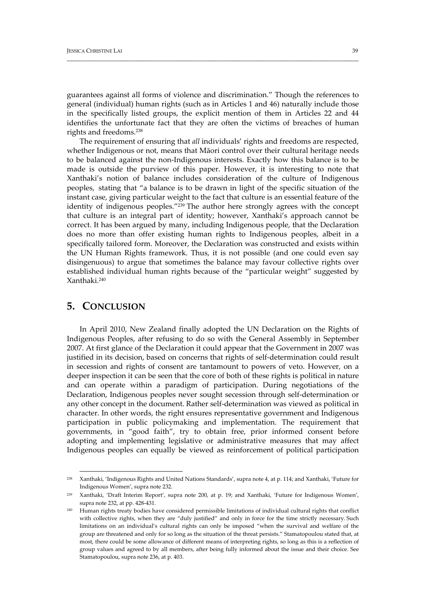guarantees against all forms of violence and discrimination." Though the references to general (individual) human rights (such as in Articles 1 and 46) naturally include those in the specifically listed groups, the explicit mention of them in Articles 22 and 44 identifies the unfortunate fact that they are often the victims of breaches of human rights and freedoms.238

\_\_\_\_\_\_\_\_\_\_\_\_\_\_\_\_\_\_\_\_\_\_\_\_\_\_\_\_\_\_\_\_\_\_\_\_\_\_\_\_\_\_\_\_\_\_\_\_\_\_\_\_\_\_\_\_\_\_\_\_\_\_\_\_\_\_\_\_\_\_\_\_\_\_\_\_\_\_\_\_\_\_\_\_\_\_\_\_\_\_\_\_\_\_\_\_\_\_\_\_\_\_

The requirement of ensuring that *all* individuals' rights and freedoms are respected, whether Indigenous or not, means that Māori control over their cultural heritage needs to be balanced against the non‐Indigenous interests. Exactly how this balance is to be made is outside the purview of this paper. However, it is interesting to note that Xanthaki's notion of balance includes consideration of the culture of Indigenous peoples, stating that "a balance is to be drawn in light of the specific situation of the instant case, giving particular weight to the fact that culture is an essential feature of the identity of indigenous peoples."<sup>239</sup> The author here strongly agrees with the concept that culture is an integral part of identity; however, Xanthaki's approach cannot be correct. It has been argued by many, including Indigenous people, that the Declaration does no more than offer existing human rights to Indigenous peoples, albeit in a specifically tailored form. Moreover, the Declaration was constructed and exists within the UN Human Rights framework. Thus, it is not possible (and one could even say disingenuous) to argue that sometimes the balance may favour collective rights over established individual human rights because of the "particular weight" suggested by Xanthaki.240

# **5. CONCLUSION**

In April 2010, New Zealand finally adopted the UN Declaration on the Rights of Indigenous Peoples, after refusing to do so with the General Assembly in September 2007. At first glance of the Declaration it could appear that the Government in 2007 was justified in its decision, based on concerns that rights of self‐determination could result in secession and rights of consent are tantamount to powers of veto. However, on a deeper inspection it can be seen that the core of both of these rights is political in nature and can operate within a paradigm of participation. During negotiations of the Declaration, Indigenous peoples never sought secession through self‐determination or any other concept in the document. Rather self‐determination was viewed as political in character. In other words, the right ensures representative government and Indigenous participation in public policymaking and implementation. The requirement that governments, in "good faith", try to obtain free, prior informed consent before adopting and implementing legislative or administrative measures that may affect Indigenous peoples can equally be viewed as reinforcement of political participation

<sup>238</sup> Xanthaki, 'Indigenous Rights and United Nations Standards', supra note 4, at p. 114; and Xanthaki, 'Future for Indigenous Women', supra note 232.

<sup>239</sup> Xanthaki, 'Draft Interim Report', supra note 200, at p. 19; and Xanthaki, 'Future for Indigenous Women', supra note 232, at pp. 428‐431.

<sup>240</sup> Human rights treaty bodies have considered permissible limitations of individual cultural rights that conflict with collective rights, when they are "duly justified" and only in force for the time strictly necessary. Such limitations on an individual's cultural rights can only be imposed "when the survival and welfare of the group are threatened and only for so long as the situation of the threat persists." Stamatopoulou stated that, at most, there could be some allowance of different means of interpreting rights, so long as this is a reflection of group values and agreed to by all members, after being fully informed about the issue and their choice. See Stamatopoulou, supra note 236, at p. 403.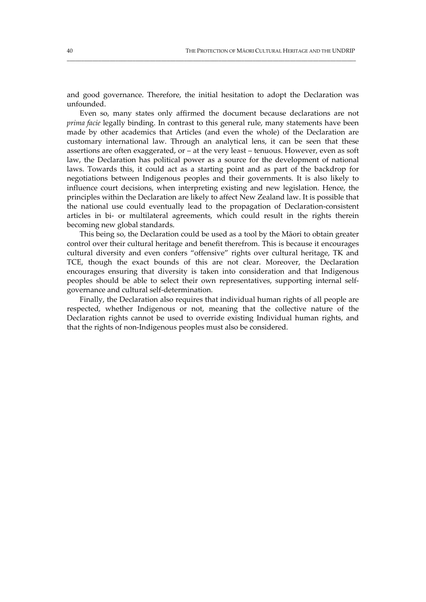and good governance. Therefore, the initial hesitation to adopt the Declaration was unfounded.

\_\_\_\_\_\_\_\_\_\_\_\_\_\_\_\_\_\_\_\_\_\_\_\_\_\_\_\_\_\_\_\_\_\_\_\_\_\_\_\_\_\_\_\_\_\_\_\_\_\_\_\_\_\_\_\_\_\_\_\_\_\_\_\_\_\_\_\_\_\_\_\_\_\_\_\_\_\_\_\_\_\_\_\_\_\_\_\_\_\_\_\_\_\_\_\_\_\_\_\_\_

Even so, many states only affirmed the document because declarations are not *prima facie* legally binding. In contrast to this general rule, many statements have been made by other academics that Articles (and even the whole) of the Declaration are customary international law. Through an analytical lens, it can be seen that these assertions are often exaggerated, or – at the very least – tenuous. However, even as soft law, the Declaration has political power as a source for the development of national laws. Towards this, it could act as a starting point and as part of the backdrop for negotiations between Indigenous peoples and their governments. It is also likely to influence court decisions, when interpreting existing and new legislation. Hence, the principles within the Declaration are likely to affect New Zealand law. It is possible that the national use could eventually lead to the propagation of Declaration‐consistent articles in bi‐ or multilateral agreements, which could result in the rights therein becoming new global standards.

This being so, the Declaration could be used as a tool by the Māori to obtain greater control over their cultural heritage and benefit therefrom. This is because it encourages cultural diversity and even confers "offensive" rights over cultural heritage, TK and TCE, though the exact bounds of this are not clear. Moreover, the Declaration encourages ensuring that diversity is taken into consideration and that Indigenous peoples should be able to select their own representatives, supporting internal self‐ governance and cultural self‐determination.

Finally, the Declaration also requires that individual human rights of all people are respected, whether Indigenous or not, meaning that the collective nature of the Declaration rights cannot be used to override existing Individual human rights, and that the rights of non‐Indigenous peoples must also be considered.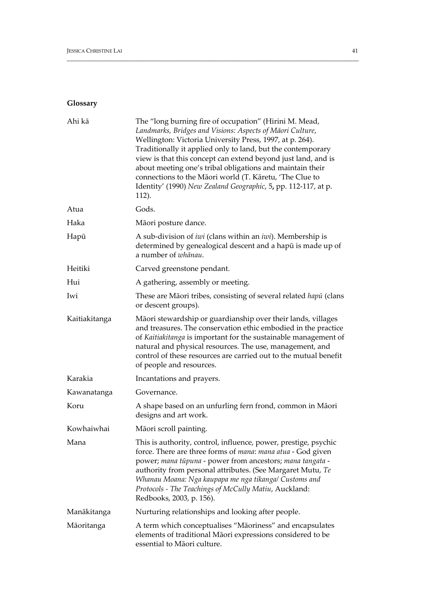# **Glossary**

| Ahi kā        | The "long burning fire of occupation" (Hirini M. Mead,<br>Landmarks, Bridges and Visions: Aspects of Māori Culture,<br>Wellington: Victoria University Press, 1997, at p. 264).<br>Traditionally it applied only to land, but the contemporary<br>view is that this concept can extend beyond just land, and is<br>about meeting one's tribal obligations and maintain their<br>connections to the Māori world (T. Kāretu, 'The Clue to<br>Identity' (1990) New Zealand Geographic, 5, pp. 112-117, at p.<br>112). |
|---------------|--------------------------------------------------------------------------------------------------------------------------------------------------------------------------------------------------------------------------------------------------------------------------------------------------------------------------------------------------------------------------------------------------------------------------------------------------------------------------------------------------------------------|
| Atua          | Gods.                                                                                                                                                                                                                                                                                                                                                                                                                                                                                                              |
| Haka          | Māori posture dance.                                                                                                                                                                                                                                                                                                                                                                                                                                                                                               |
| Hapū          | A sub-division of <i>iwi</i> (clans within an <i>iwi</i> ). Membership is<br>determined by genealogical descent and a hapū is made up of<br>a number of whānau.                                                                                                                                                                                                                                                                                                                                                    |
| Heitiki       | Carved greenstone pendant.                                                                                                                                                                                                                                                                                                                                                                                                                                                                                         |
| Hui           | A gathering, assembly or meeting.                                                                                                                                                                                                                                                                                                                                                                                                                                                                                  |
| Iwi           | These are Māori tribes, consisting of several related hapū (clans<br>or descent groups).                                                                                                                                                                                                                                                                                                                                                                                                                           |
| Kaitiakitanga | Māori stewardship or guardianship over their lands, villages<br>and treasures. The conservation ethic embodied in the practice<br>of Kaitiakitanga is important for the sustainable management of<br>natural and physical resources. The use, management, and<br>control of these resources are carried out to the mutual benefit<br>of people and resources.                                                                                                                                                      |
| Karakia       | Incantations and prayers.                                                                                                                                                                                                                                                                                                                                                                                                                                                                                          |
| Kawanatanga   | Governance.                                                                                                                                                                                                                                                                                                                                                                                                                                                                                                        |
| Koru          | A shape based on an unfurling fern frond, common in Māori<br>designs and art work.                                                                                                                                                                                                                                                                                                                                                                                                                                 |
| Kowhaiwhai    | Māori scroll painting.                                                                                                                                                                                                                                                                                                                                                                                                                                                                                             |
| Mana          | This is authority, control, influence, power, prestige, psychic<br>force. There are three forms of mana: mana atua - God given<br>power; mana tūpuna - power from ancestors; mana tangata -<br>authority from personal attributes. (See Margaret Mutu, Te<br>Whanau Moana: Nga kaupapa me nga tikangal Customs and<br>Protocols - The Teachings of McCully Matiu, Auckland:<br>Redbooks, 2003, p. 156).                                                                                                            |
| Manākitanga   | Nurturing relationships and looking after people.                                                                                                                                                                                                                                                                                                                                                                                                                                                                  |
| Māoritanga    | A term which conceptualises "Māoriness" and encapsulates<br>elements of traditional Māori expressions considered to be<br>essential to Māori culture.                                                                                                                                                                                                                                                                                                                                                              |

\_\_\_\_\_\_\_\_\_\_\_\_\_\_\_\_\_\_\_\_\_\_\_\_\_\_\_\_\_\_\_\_\_\_\_\_\_\_\_\_\_\_\_\_\_\_\_\_\_\_\_\_\_\_\_\_\_\_\_\_\_\_\_\_\_\_\_\_\_\_\_\_\_\_\_\_\_\_\_\_\_\_\_\_\_\_\_\_\_\_\_\_\_\_\_\_\_\_\_\_\_\_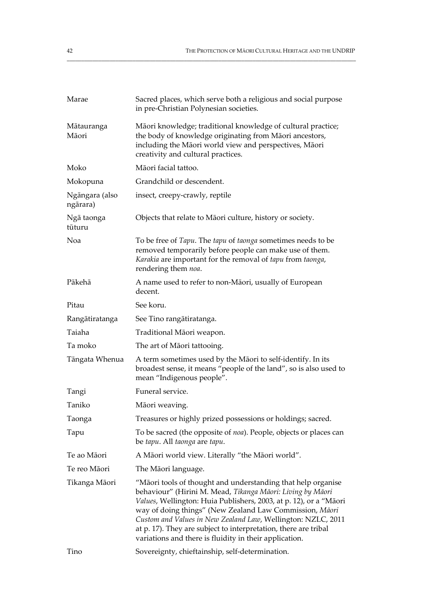| Marae                      | Sacred places, which serve both a religious and social purpose<br>in pre-Christian Polynesian societies.                                                                                                                                                                                                                                                                                                                                                |
|----------------------------|---------------------------------------------------------------------------------------------------------------------------------------------------------------------------------------------------------------------------------------------------------------------------------------------------------------------------------------------------------------------------------------------------------------------------------------------------------|
| Mātauranga<br>Māori        | Māori knowledge; traditional knowledge of cultural practice;<br>the body of knowledge originating from Māori ancestors,<br>including the Māori world view and perspectives, Māori<br>creativity and cultural practices.                                                                                                                                                                                                                                 |
| Moko                       | Māori facial tattoo.                                                                                                                                                                                                                                                                                                                                                                                                                                    |
| Mokopuna                   | Grandchild or descendent.                                                                                                                                                                                                                                                                                                                                                                                                                               |
| Ngāngara (also<br>ngārara) | insect, creepy-crawly, reptile                                                                                                                                                                                                                                                                                                                                                                                                                          |
| Ngā taonga<br>tūturu       | Objects that relate to Māori culture, history or society.                                                                                                                                                                                                                                                                                                                                                                                               |
| Noa                        | To be free of Tapu. The tapu of taonga sometimes needs to be<br>removed temporarily before people can make use of them.<br>Karakia are important for the removal of tapu from taonga,<br>rendering them noa.                                                                                                                                                                                                                                            |
| Pākehā                     | A name used to refer to non-Māori, usually of European<br>decent.                                                                                                                                                                                                                                                                                                                                                                                       |
| Pitau                      | See koru.                                                                                                                                                                                                                                                                                                                                                                                                                                               |
| Rangātiratanga             | See Tino rangātiratanga.                                                                                                                                                                                                                                                                                                                                                                                                                                |
| Taiaha                     | Traditional Māori weapon.                                                                                                                                                                                                                                                                                                                                                                                                                               |
| Ta moko                    | The art of Māori tattooing.                                                                                                                                                                                                                                                                                                                                                                                                                             |
| Tāngata Whenua             | A term sometimes used by the Māori to self-identify. In its<br>broadest sense, it means "people of the land", so is also used to<br>mean "Indigenous people".                                                                                                                                                                                                                                                                                           |
| Tangi                      | Funeral service.                                                                                                                                                                                                                                                                                                                                                                                                                                        |
| Taniko                     | Māori weaving.                                                                                                                                                                                                                                                                                                                                                                                                                                          |
| Taonga                     | Treasures or highly prized possessions or holdings; sacred.                                                                                                                                                                                                                                                                                                                                                                                             |
| Tapu                       | To be sacred (the opposite of noa). People, objects or places can<br>be tapu. All taonga are tapu.                                                                                                                                                                                                                                                                                                                                                      |
| Te ao Māori                | A Māori world view. Literally "the Māori world".                                                                                                                                                                                                                                                                                                                                                                                                        |
| Te reo Māori               | The Māori language.                                                                                                                                                                                                                                                                                                                                                                                                                                     |
| Tikanga Māori              | "Māori tools of thought and understanding that help organise<br>behaviour" (Hirini M. Mead, Tikanga Māori: Living by Māori<br>Values, Wellington: Huia Publishers, 2003, at p. 12), or a "Māori<br>way of doing things" (New Zealand Law Commission, Māori<br>Custom and Values in New Zealand Law, Wellington: NZLC, 2011<br>at p. 17). They are subject to interpretation, there are tribal<br>variations and there is fluidity in their application. |
| Tino                       | Sovereignty, chieftainship, self-determination.                                                                                                                                                                                                                                                                                                                                                                                                         |

\_\_\_\_\_\_\_\_\_\_\_\_\_\_\_\_\_\_\_\_\_\_\_\_\_\_\_\_\_\_\_\_\_\_\_\_\_\_\_\_\_\_\_\_\_\_\_\_\_\_\_\_\_\_\_\_\_\_\_\_\_\_\_\_\_\_\_\_\_\_\_\_\_\_\_\_\_\_\_\_\_\_\_\_\_\_\_\_\_\_\_\_\_\_\_\_\_\_\_\_\_